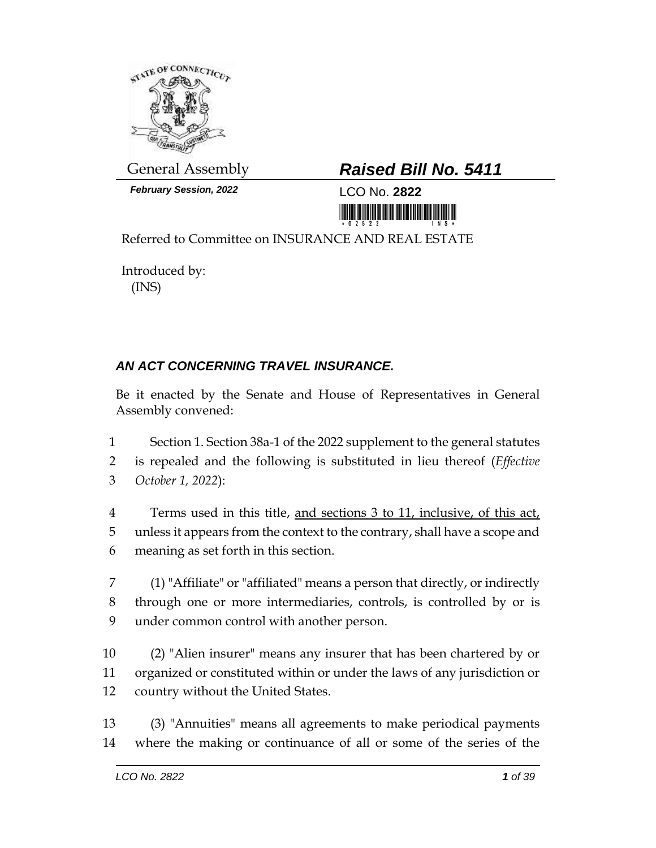

*February Session, 2022* LCO No. **2822**

## General Assembly *Raised Bill No. 5411*

<u> III MARIJINI MARIJI MARIJI MARIJI MARIJI MARIJI MARIJI MARIJI MARIJI MARIJI MARIJI MARIJI MARIJI MARIJI MARIJ</u>

Referred to Committee on INSURANCE AND REAL ESTATE

Introduced by: (INS)

## *AN ACT CONCERNING TRAVEL INSURANCE.*

Be it enacted by the Senate and House of Representatives in General Assembly convened:

1 Section 1. Section 38a-1 of the 2022 supplement to the general statutes 2 is repealed and the following is substituted in lieu thereof (*Effective*  3 *October 1, 2022*):

4 Terms used in this title, and sections 3 to 11, inclusive, of this act, 5 unless it appears from the context to the contrary, shall have a scope and 6 meaning as set forth in this section.

7 (1) "Affiliate" or "affiliated" means a person that directly, or indirectly 8 through one or more intermediaries, controls, is controlled by or is 9 under common control with another person.

10 (2) "Alien insurer" means any insurer that has been chartered by or 11 organized or constituted within or under the laws of any jurisdiction or 12 country without the United States.

13 (3) "Annuities" means all agreements to make periodical payments 14 where the making or continuance of all or some of the series of the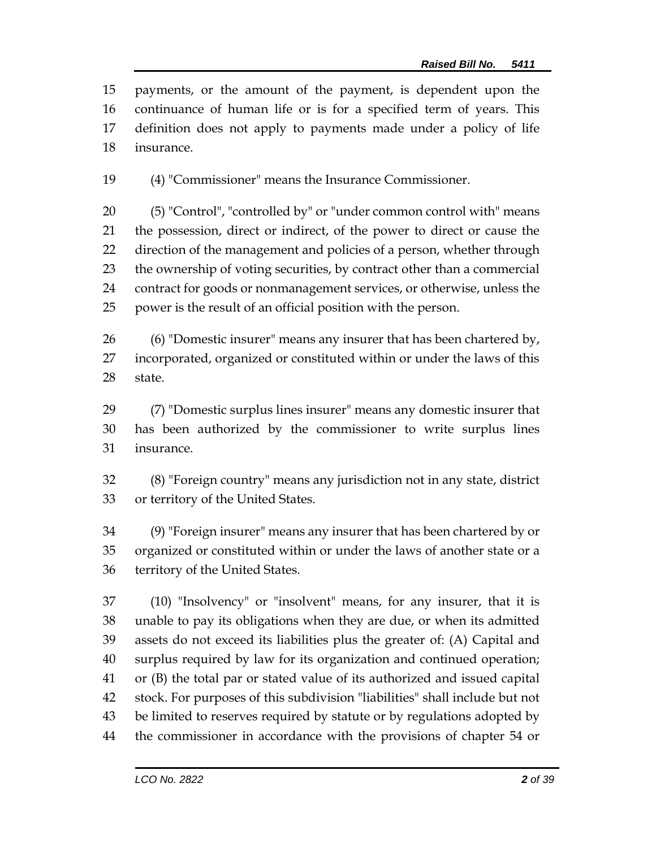payments, or the amount of the payment, is dependent upon the continuance of human life or is for a specified term of years. This definition does not apply to payments made under a policy of life insurance.

(4) "Commissioner" means the Insurance Commissioner.

 (5) "Control", "controlled by" or "under common control with" means the possession, direct or indirect, of the power to direct or cause the direction of the management and policies of a person, whether through the ownership of voting securities, by contract other than a commercial contract for goods or nonmanagement services, or otherwise, unless the power is the result of an official position with the person.

 (6) "Domestic insurer" means any insurer that has been chartered by, incorporated, organized or constituted within or under the laws of this state.

 (7) "Domestic surplus lines insurer" means any domestic insurer that has been authorized by the commissioner to write surplus lines insurance.

 (8) "Foreign country" means any jurisdiction not in any state, district or territory of the United States.

 (9) "Foreign insurer" means any insurer that has been chartered by or organized or constituted within or under the laws of another state or a territory of the United States.

 (10) "Insolvency" or "insolvent" means, for any insurer, that it is unable to pay its obligations when they are due, or when its admitted assets do not exceed its liabilities plus the greater of: (A) Capital and surplus required by law for its organization and continued operation; or (B) the total par or stated value of its authorized and issued capital stock. For purposes of this subdivision "liabilities" shall include but not be limited to reserves required by statute or by regulations adopted by the commissioner in accordance with the provisions of chapter 54 or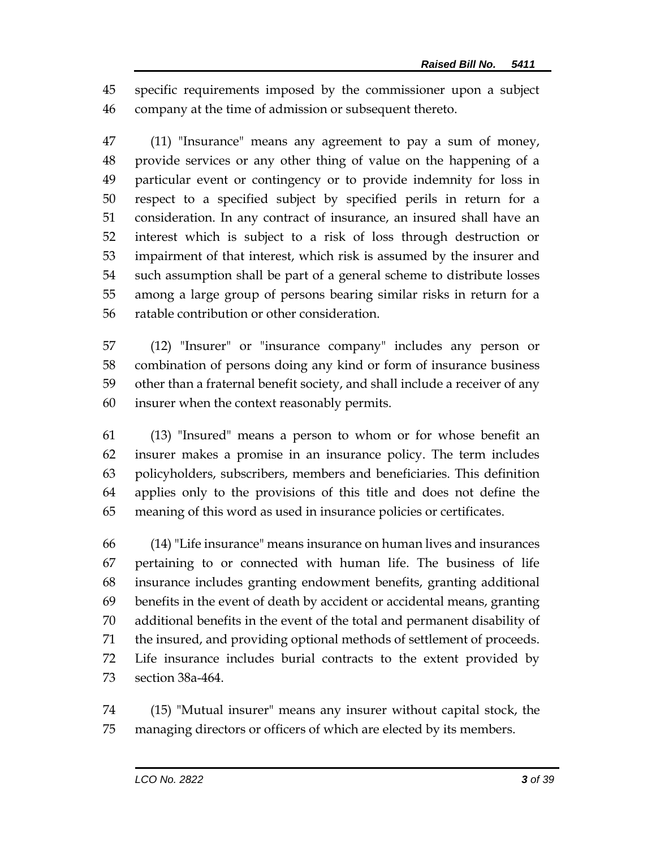specific requirements imposed by the commissioner upon a subject company at the time of admission or subsequent thereto.

 (11) "Insurance" means any agreement to pay a sum of money, provide services or any other thing of value on the happening of a particular event or contingency or to provide indemnity for loss in respect to a specified subject by specified perils in return for a consideration. In any contract of insurance, an insured shall have an interest which is subject to a risk of loss through destruction or impairment of that interest, which risk is assumed by the insurer and such assumption shall be part of a general scheme to distribute losses among a large group of persons bearing similar risks in return for a ratable contribution or other consideration.

 (12) "Insurer" or "insurance company" includes any person or combination of persons doing any kind or form of insurance business other than a fraternal benefit society, and shall include a receiver of any insurer when the context reasonably permits.

 (13) "Insured" means a person to whom or for whose benefit an insurer makes a promise in an insurance policy. The term includes policyholders, subscribers, members and beneficiaries. This definition applies only to the provisions of this title and does not define the meaning of this word as used in insurance policies or certificates.

 (14) "Life insurance" means insurance on human lives and insurances pertaining to or connected with human life. The business of life insurance includes granting endowment benefits, granting additional benefits in the event of death by accident or accidental means, granting additional benefits in the event of the total and permanent disability of the insured, and providing optional methods of settlement of proceeds. Life insurance includes burial contracts to the extent provided by section 38a-464.

 (15) "Mutual insurer" means any insurer without capital stock, the managing directors or officers of which are elected by its members.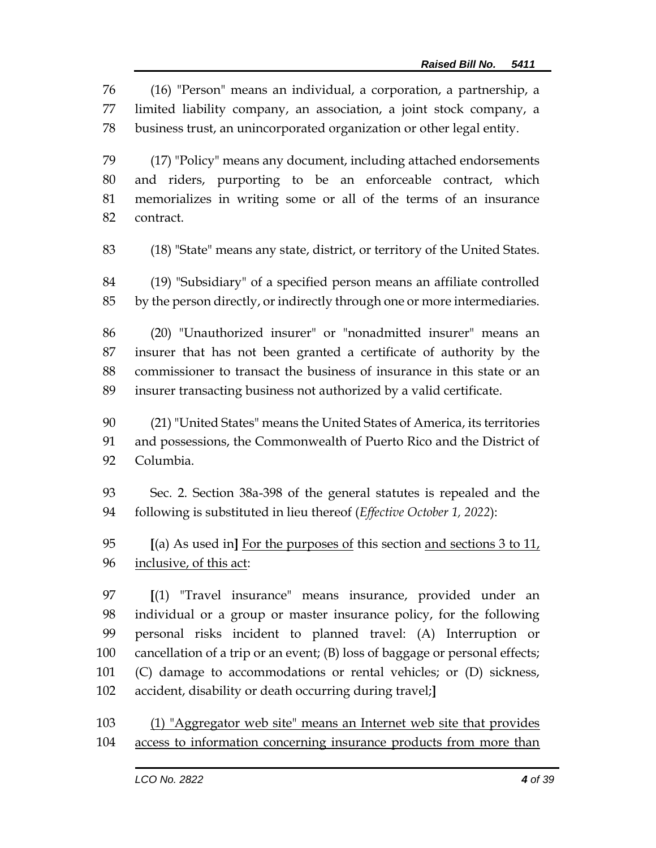(16) "Person" means an individual, a corporation, a partnership, a limited liability company, an association, a joint stock company, a business trust, an unincorporated organization or other legal entity.

 (17) "Policy" means any document, including attached endorsements and riders, purporting to be an enforceable contract, which memorializes in writing some or all of the terms of an insurance contract.

(18) "State" means any state, district, or territory of the United States.

 (19) "Subsidiary" of a specified person means an affiliate controlled by the person directly, or indirectly through one or more intermediaries.

 (20) "Unauthorized insurer" or "nonadmitted insurer" means an insurer that has not been granted a certificate of authority by the commissioner to transact the business of insurance in this state or an insurer transacting business not authorized by a valid certificate.

 (21) "United States" means the United States of America, its territories and possessions, the Commonwealth of Puerto Rico and the District of Columbia.

 Sec. 2. Section 38a-398 of the general statutes is repealed and the following is substituted in lieu thereof (*Effective October 1, 2022*):

 **[**(a) As used in**]** For the purposes of this section and sections 3 to 11, 96 <u>inclusive</u>, of this act:

 **[**(1) "Travel insurance" means insurance, provided under an individual or a group or master insurance policy, for the following personal risks incident to planned travel: (A) Interruption or cancellation of a trip or an event; (B) loss of baggage or personal effects; (C) damage to accommodations or rental vehicles; or (D) sickness, accident, disability or death occurring during travel;**]**

 (1) "Aggregator web site" means an Internet web site that provides access to information concerning insurance products from more than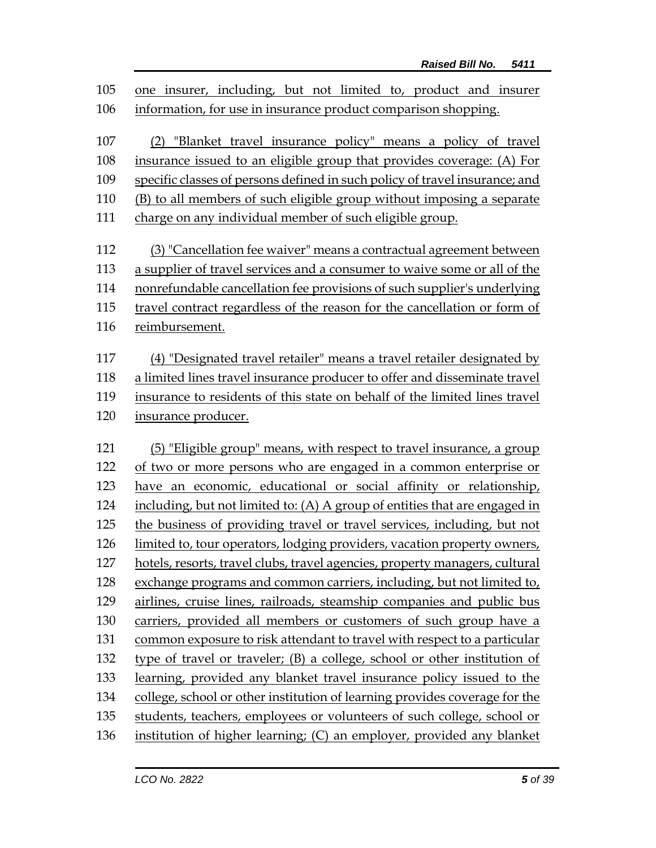one insurer, including, but not limited to, product and insurer information, for use in insurance product comparison shopping. (2) "Blanket travel insurance policy" means a policy of travel insurance issued to an eligible group that provides coverage: (A) For specific classes of persons defined in such policy of travel insurance; and (B) to all members of such eligible group without imposing a separate charge on any individual member of such eligible group. (3) "Cancellation fee waiver" means a contractual agreement between a supplier of travel services and a consumer to waive some or all of the nonrefundable cancellation fee provisions of such supplier's underlying travel contract regardless of the reason for the cancellation or form of reimbursement. (4) "Designated travel retailer" means a travel retailer designated by a limited lines travel insurance producer to offer and disseminate travel insurance to residents of this state on behalf of the limited lines travel insurance producer. (5) "Eligible group" means, with respect to travel insurance, a group of two or more persons who are engaged in a common enterprise or have an economic, educational or social affinity or relationship, including, but not limited to: (A) A group of entities that are engaged in the business of providing travel or travel services, including, but not limited to, tour operators, lodging providers, vacation property owners, hotels, resorts, travel clubs, travel agencies, property managers, cultural exchange programs and common carriers, including, but not limited to, airlines, cruise lines, railroads, steamship companies and public bus carriers, provided all members or customers of such group have a common exposure to risk attendant to travel with respect to a particular type of travel or traveler; (B) a college, school or other institution of learning, provided any blanket travel insurance policy issued to the college, school or other institution of learning provides coverage for the students, teachers, employees or volunteers of such college, school or institution of higher learning; (C) an employer, provided any blanket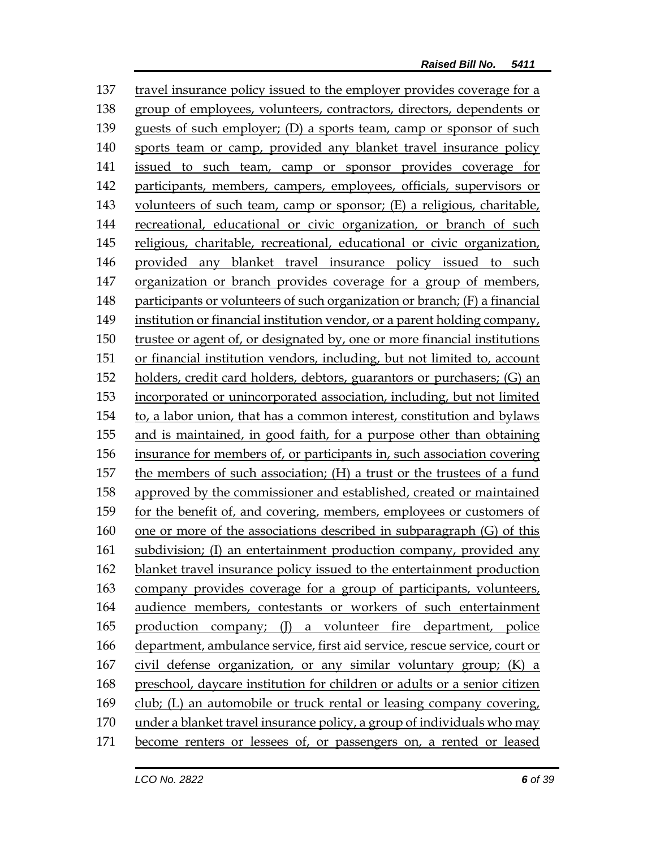travel insurance policy issued to the employer provides coverage for a group of employees, volunteers, contractors, directors, dependents or guests of such employer; (D) a sports team, camp or sponsor of such sports team or camp, provided any blanket travel insurance policy issued to such team, camp or sponsor provides coverage for participants, members, campers, employees, officials, supervisors or 143 volunteers of such team, camp or sponsor; (E) a religious, charitable, recreational, educational or civic organization, or branch of such religious, charitable, recreational, educational or civic organization, provided any blanket travel insurance policy issued to such organization or branch provides coverage for a group of members, participants or volunteers of such organization or branch; (F) a financial institution or financial institution vendor, or a parent holding company, trustee or agent of, or designated by, one or more financial institutions or financial institution vendors, including, but not limited to, account holders, credit card holders, debtors, guarantors or purchasers; (G) an incorporated or unincorporated association, including, but not limited to, a labor union, that has a common interest, constitution and bylaws and is maintained, in good faith, for a purpose other than obtaining insurance for members of, or participants in, such association covering the members of such association; (H) a trust or the trustees of a fund approved by the commissioner and established, created or maintained for the benefit of, and covering, members, employees or customers of one or more of the associations described in subparagraph (G) of this subdivision; (I) an entertainment production company, provided any blanket travel insurance policy issued to the entertainment production company provides coverage for a group of participants, volunteers, audience members, contestants or workers of such entertainment production company; (J) a volunteer fire department, police department, ambulance service, first aid service, rescue service, court or civil defense organization, or any similar voluntary group; (K) a preschool, daycare institution for children or adults or a senior citizen club; (L) an automobile or truck rental or leasing company covering, under a blanket travel insurance policy, a group of individuals who may become renters or lessees of, or passengers on, a rented or leased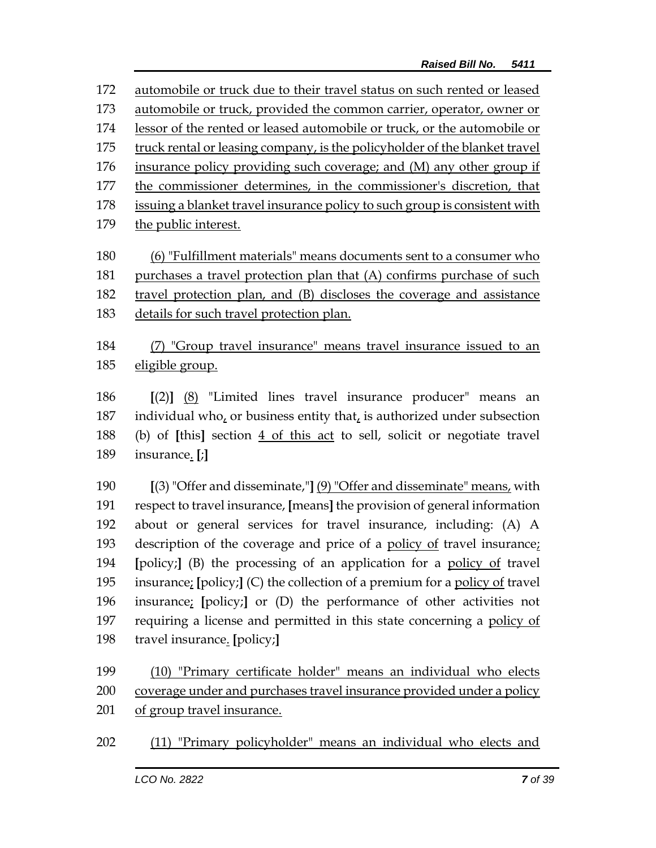automobile or truck due to their travel status on such rented or leased automobile or truck, provided the common carrier, operator, owner or lessor of the rented or leased automobile or truck, or the automobile or truck rental or leasing company, is the policyholder of the blanket travel insurance policy providing such coverage; and (M) any other group if the commissioner determines, in the commissioner's discretion, that issuing a blanket travel insurance policy to such group is consistent with the public interest.

 (6) "Fulfillment materials" means documents sent to a consumer who purchases a travel protection plan that (A) confirms purchase of such travel protection plan, and (B) discloses the coverage and assistance details for such travel protection plan.

 (7) "Group travel insurance" means travel insurance issued to an eligible group.

 **[**(2)**]** (8) "Limited lines travel insurance producer" means an individual who, or business entity that, is authorized under subsection (b) of **[**this**]** section 4 of this act to sell, solicit or negotiate travel insurance. **[**;**]**

 **[**(3) "Offer and disseminate,"**]** (9) "Offer and disseminate" means, with respect to travel insurance, **[**means**]** the provision of general information about or general services for travel insurance, including: (A) A description of the coverage and price of a policy of travel insurance; **[**policy;**]** (B) the processing of an application for a policy of travel insurance; **[**policy;**]** (C) the collection of a premium for a policy of travel insurance; **[**policy;**]** or (D) the performance of other activities not requiring a license and permitted in this state concerning a policy of travel insurance. **[**policy;**]**

 (10) "Primary certificate holder" means an individual who elects coverage under and purchases travel insurance provided under a policy of group travel insurance.

(11) "Primary policyholder" means an individual who elects and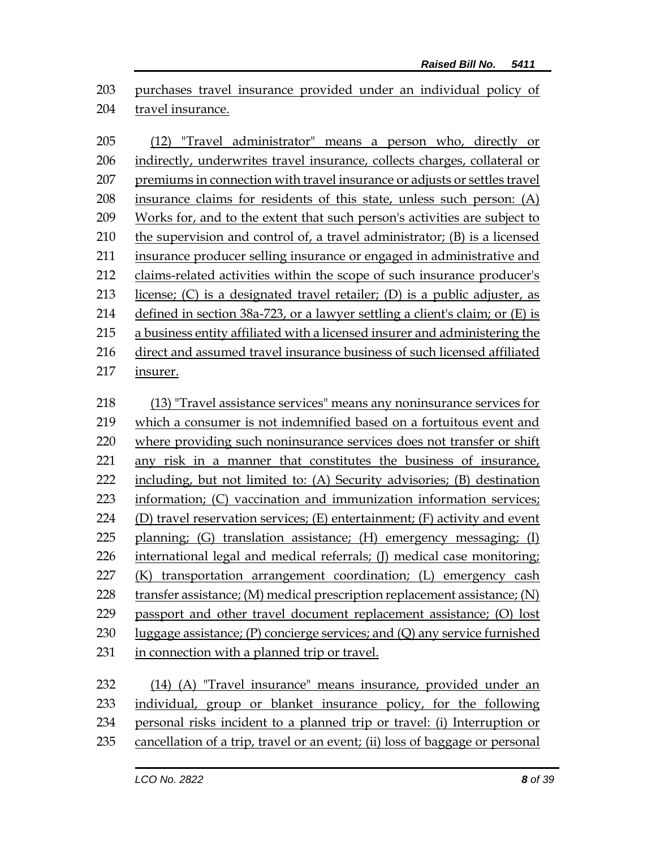purchases travel insurance provided under an individual policy of travel insurance.

 (12) "Travel administrator" means a person who, directly or indirectly, underwrites travel insurance, collects charges, collateral or premiums in connection with travel insurance or adjusts or settles travel insurance claims for residents of this state, unless such person: (A) Works for, and to the extent that such person's activities are subject to 210 the supervision and control of, a travel administrator; (B) is a licensed insurance producer selling insurance or engaged in administrative and claims-related activities within the scope of such insurance producer's 213 license;  $(C)$  is a designated travel retailer;  $(D)$  is a public adjuster, as defined in section 38a-723, or a lawyer settling a client's claim; or (E) is a business entity affiliated with a licensed insurer and administering the direct and assumed travel insurance business of such licensed affiliated insurer. (13) "Travel assistance services" means any noninsurance services for which a consumer is not indemnified based on a fortuitous event and where providing such noninsurance services does not transfer or shift any risk in a manner that constitutes the business of insurance, including, but not limited to: (A) Security advisories; (B) destination information; (C) vaccination and immunization information services; 224 (D) travel reservation services;  $(E)$  entertainment;  $(F)$  activity and event planning; (G) translation assistance; (H) emergency messaging; (I) 226 international legal and medical referrals; (J) medical case monitoring; (K) transportation arrangement coordination; (L) emergency cash 228 transfer assistance; (M) medical prescription replacement assistance; (N) passport and other travel document replacement assistance; (O) lost

230 luggage assistance;  $(P)$  concierge services; and  $(Q)$  any service furnished

in connection with a planned trip or travel.

| 233 individual, group or blanket insurance policy, for the following             |
|----------------------------------------------------------------------------------|
|                                                                                  |
| 234 personal risks incident to a planned trip or travel: (i) Interruption or     |
| 235 cancellation of a trip, travel or an event; (ii) loss of baggage or personal |
|                                                                                  |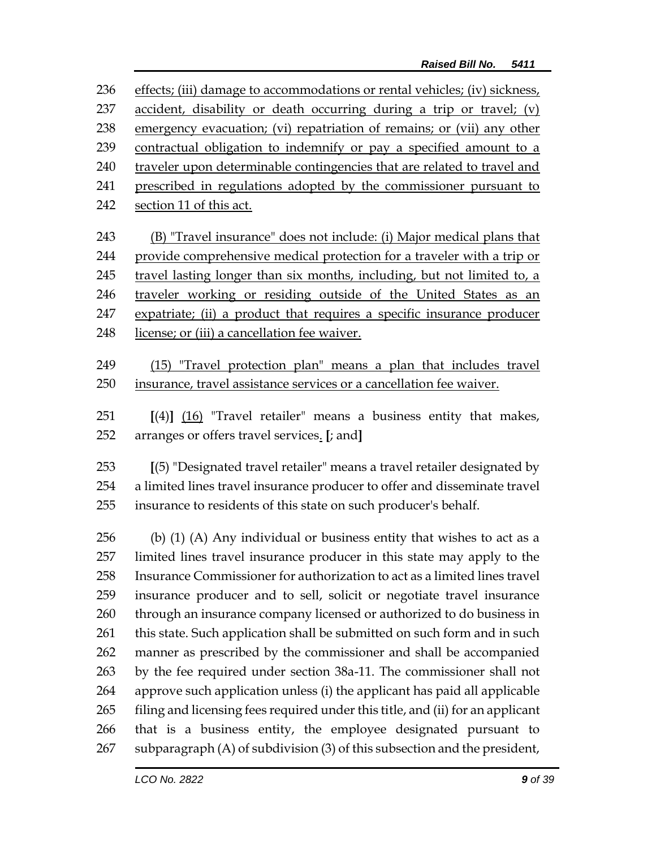236 effects; (iii) damage to accommodations or rental vehicles; (iv) sickness, 237 accident, disability or death occurring during a trip or travel; (v) emergency evacuation; (vi) repatriation of remains; or (vii) any other contractual obligation to indemnify or pay a specified amount to a 240 traveler upon determinable contingencies that are related to travel and prescribed in regulations adopted by the commissioner pursuant to section 11 of this act. 243 (B) "Travel insurance" does not include: (i) Major medical plans that provide comprehensive medical protection for a traveler with a trip or 245 travel lasting longer than six months, including, but not limited to, a traveler working or residing outside of the United States as an expatriate; (ii) a product that requires a specific insurance producer 248 license; or (iii) a cancellation fee waiver. (15) "Travel protection plan" means a plan that includes travel insurance, travel assistance services or a cancellation fee waiver.

 **[**(4)**]** (16) "Travel retailer" means a business entity that makes, arranges or offers travel services. **[**; and**]**

 **[**(5) "Designated travel retailer" means a travel retailer designated by a limited lines travel insurance producer to offer and disseminate travel insurance to residents of this state on such producer's behalf.

 (b) (1) (A) Any individual or business entity that wishes to act as a limited lines travel insurance producer in this state may apply to the Insurance Commissioner for authorization to act as a limited lines travel insurance producer and to sell, solicit or negotiate travel insurance 260 through an insurance company licensed or authorized to do business in 261 this state. Such application shall be submitted on such form and in such manner as prescribed by the commissioner and shall be accompanied by the fee required under section 38a-11. The commissioner shall not approve such application unless (i) the applicant has paid all applicable filing and licensing fees required under this title, and (ii) for an applicant that is a business entity, the employee designated pursuant to subparagraph (A) of subdivision (3) of this subsection and the president,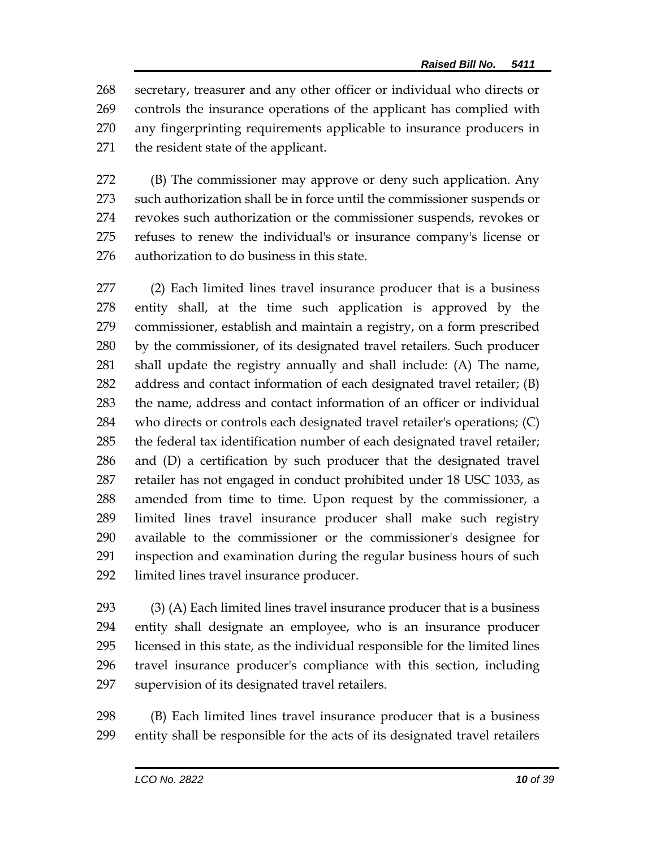secretary, treasurer and any other officer or individual who directs or controls the insurance operations of the applicant has complied with any fingerprinting requirements applicable to insurance producers in the resident state of the applicant.

 (B) The commissioner may approve or deny such application. Any such authorization shall be in force until the commissioner suspends or revokes such authorization or the commissioner suspends, revokes or refuses to renew the individual's or insurance company's license or authorization to do business in this state.

 (2) Each limited lines travel insurance producer that is a business entity shall, at the time such application is approved by the commissioner, establish and maintain a registry, on a form prescribed by the commissioner, of its designated travel retailers. Such producer shall update the registry annually and shall include: (A) The name, address and contact information of each designated travel retailer; (B) the name, address and contact information of an officer or individual who directs or controls each designated travel retailer's operations; (C) the federal tax identification number of each designated travel retailer; and (D) a certification by such producer that the designated travel retailer has not engaged in conduct prohibited under 18 USC 1033, as amended from time to time. Upon request by the commissioner, a limited lines travel insurance producer shall make such registry available to the commissioner or the commissioner's designee for inspection and examination during the regular business hours of such limited lines travel insurance producer.

 (3) (A) Each limited lines travel insurance producer that is a business entity shall designate an employee, who is an insurance producer licensed in this state, as the individual responsible for the limited lines travel insurance producer's compliance with this section, including supervision of its designated travel retailers.

 (B) Each limited lines travel insurance producer that is a business entity shall be responsible for the acts of its designated travel retailers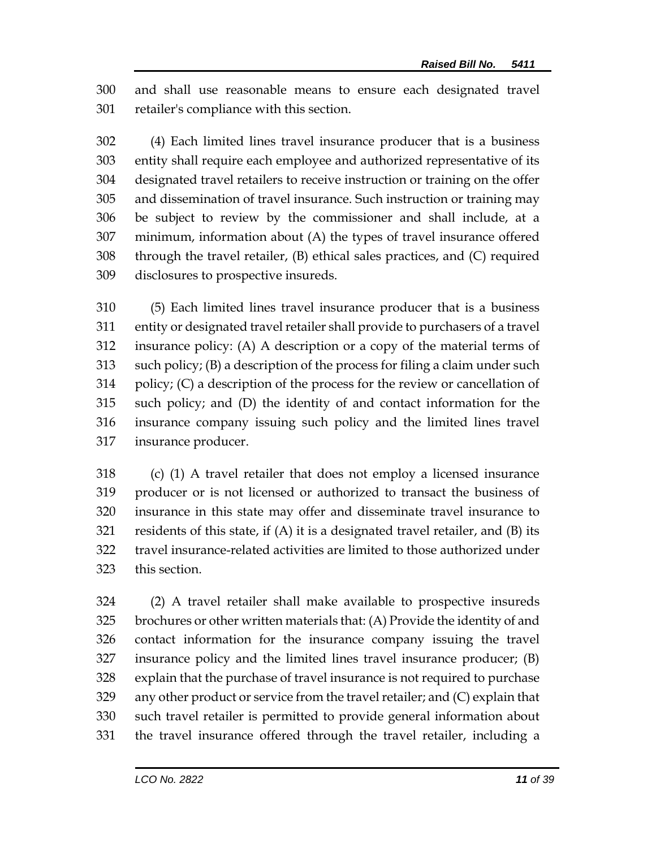and shall use reasonable means to ensure each designated travel retailer's compliance with this section.

 (4) Each limited lines travel insurance producer that is a business entity shall require each employee and authorized representative of its designated travel retailers to receive instruction or training on the offer and dissemination of travel insurance. Such instruction or training may be subject to review by the commissioner and shall include, at a minimum, information about (A) the types of travel insurance offered through the travel retailer, (B) ethical sales practices, and (C) required disclosures to prospective insureds.

 (5) Each limited lines travel insurance producer that is a business entity or designated travel retailer shall provide to purchasers of a travel insurance policy: (A) A description or a copy of the material terms of such policy; (B) a description of the process for filing a claim under such policy; (C) a description of the process for the review or cancellation of such policy; and (D) the identity of and contact information for the insurance company issuing such policy and the limited lines travel insurance producer.

 (c) (1) A travel retailer that does not employ a licensed insurance producer or is not licensed or authorized to transact the business of insurance in this state may offer and disseminate travel insurance to residents of this state, if (A) it is a designated travel retailer, and (B) its travel insurance-related activities are limited to those authorized under this section.

 (2) A travel retailer shall make available to prospective insureds brochures or other written materials that: (A) Provide the identity of and contact information for the insurance company issuing the travel insurance policy and the limited lines travel insurance producer; (B) explain that the purchase of travel insurance is not required to purchase any other product or service from the travel retailer; and (C) explain that such travel retailer is permitted to provide general information about the travel insurance offered through the travel retailer, including a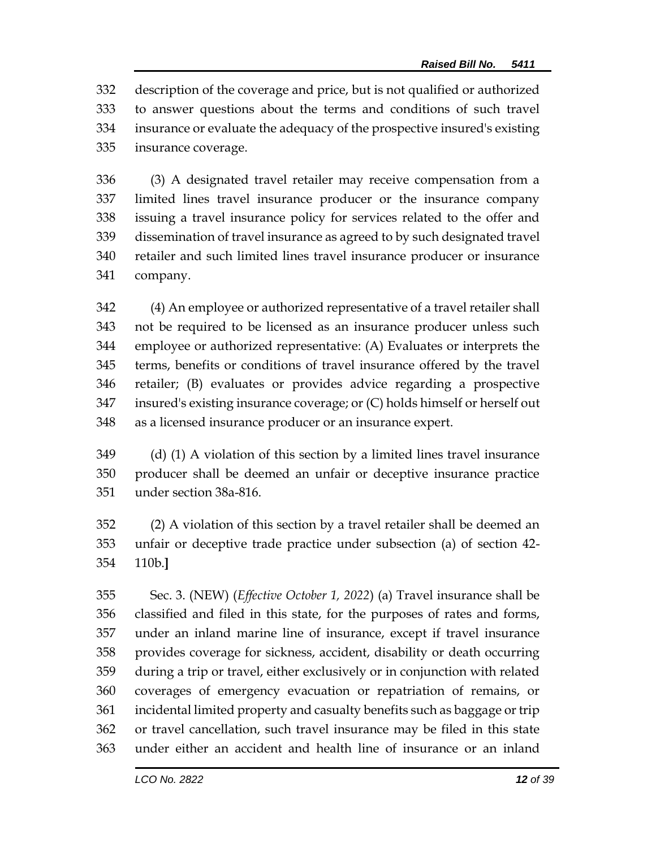description of the coverage and price, but is not qualified or authorized to answer questions about the terms and conditions of such travel insurance or evaluate the adequacy of the prospective insured's existing insurance coverage.

 (3) A designated travel retailer may receive compensation from a limited lines travel insurance producer or the insurance company issuing a travel insurance policy for services related to the offer and dissemination of travel insurance as agreed to by such designated travel retailer and such limited lines travel insurance producer or insurance company.

 (4) An employee or authorized representative of a travel retailer shall not be required to be licensed as an insurance producer unless such employee or authorized representative: (A) Evaluates or interprets the terms, benefits or conditions of travel insurance offered by the travel retailer; (B) evaluates or provides advice regarding a prospective insured's existing insurance coverage; or (C) holds himself or herself out as a licensed insurance producer or an insurance expert.

 (d) (1) A violation of this section by a limited lines travel insurance producer shall be deemed an unfair or deceptive insurance practice under section 38a-816.

 (2) A violation of this section by a travel retailer shall be deemed an unfair or deceptive trade practice under subsection (a) of section 42- 110b.**]**

 Sec. 3. (NEW) (*Effective October 1, 2022*) (a) Travel insurance shall be classified and filed in this state, for the purposes of rates and forms, under an inland marine line of insurance, except if travel insurance provides coverage for sickness, accident, disability or death occurring during a trip or travel, either exclusively or in conjunction with related coverages of emergency evacuation or repatriation of remains, or incidental limited property and casualty benefits such as baggage or trip or travel cancellation, such travel insurance may be filed in this state under either an accident and health line of insurance or an inland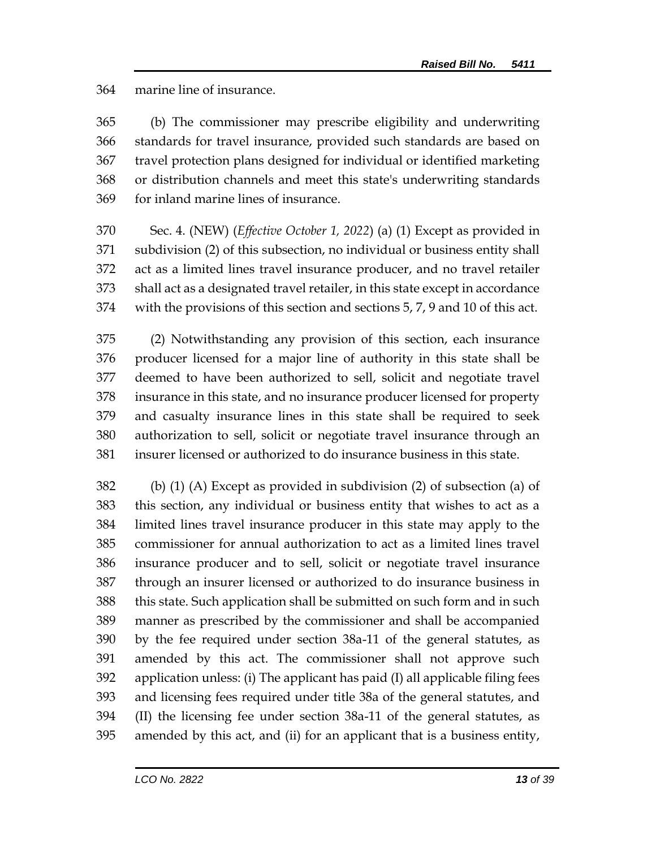marine line of insurance.

 (b) The commissioner may prescribe eligibility and underwriting standards for travel insurance, provided such standards are based on travel protection plans designed for individual or identified marketing or distribution channels and meet this state's underwriting standards for inland marine lines of insurance.

 Sec. 4. (NEW) (*Effective October 1, 2022*) (a) (1) Except as provided in subdivision (2) of this subsection, no individual or business entity shall act as a limited lines travel insurance producer, and no travel retailer shall act as a designated travel retailer, in this state except in accordance with the provisions of this section and sections 5, 7, 9 and 10 of this act.

 (2) Notwithstanding any provision of this section, each insurance producer licensed for a major line of authority in this state shall be deemed to have been authorized to sell, solicit and negotiate travel insurance in this state, and no insurance producer licensed for property and casualty insurance lines in this state shall be required to seek authorization to sell, solicit or negotiate travel insurance through an insurer licensed or authorized to do insurance business in this state.

 (b) (1) (A) Except as provided in subdivision (2) of subsection (a) of this section, any individual or business entity that wishes to act as a limited lines travel insurance producer in this state may apply to the commissioner for annual authorization to act as a limited lines travel insurance producer and to sell, solicit or negotiate travel insurance through an insurer licensed or authorized to do insurance business in this state. Such application shall be submitted on such form and in such manner as prescribed by the commissioner and shall be accompanied by the fee required under section 38a-11 of the general statutes, as amended by this act. The commissioner shall not approve such application unless: (i) The applicant has paid (I) all applicable filing fees and licensing fees required under title 38a of the general statutes, and (II) the licensing fee under section 38a-11 of the general statutes, as amended by this act, and (ii) for an applicant that is a business entity,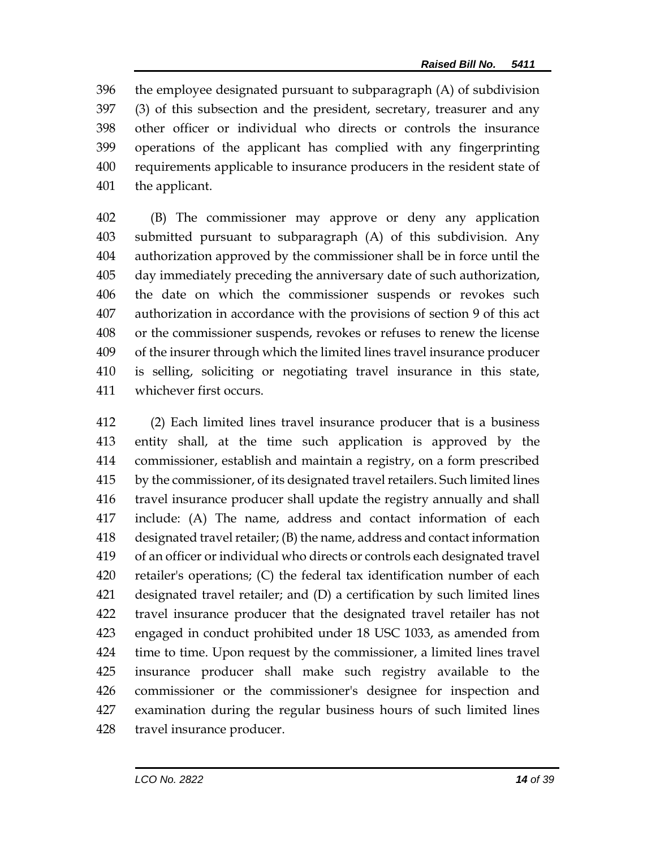the employee designated pursuant to subparagraph (A) of subdivision (3) of this subsection and the president, secretary, treasurer and any other officer or individual who directs or controls the insurance operations of the applicant has complied with any fingerprinting requirements applicable to insurance producers in the resident state of the applicant.

 (B) The commissioner may approve or deny any application submitted pursuant to subparagraph (A) of this subdivision. Any authorization approved by the commissioner shall be in force until the day immediately preceding the anniversary date of such authorization, the date on which the commissioner suspends or revokes such authorization in accordance with the provisions of section 9 of this act or the commissioner suspends, revokes or refuses to renew the license of the insurer through which the limited lines travel insurance producer is selling, soliciting or negotiating travel insurance in this state, whichever first occurs.

 (2) Each limited lines travel insurance producer that is a business entity shall, at the time such application is approved by the commissioner, establish and maintain a registry, on a form prescribed by the commissioner, of its designated travel retailers. Such limited lines travel insurance producer shall update the registry annually and shall include: (A) The name, address and contact information of each designated travel retailer; (B) the name, address and contact information of an officer or individual who directs or controls each designated travel retailer's operations; (C) the federal tax identification number of each designated travel retailer; and (D) a certification by such limited lines travel insurance producer that the designated travel retailer has not engaged in conduct prohibited under 18 USC 1033, as amended from time to time. Upon request by the commissioner, a limited lines travel insurance producer shall make such registry available to the commissioner or the commissioner's designee for inspection and examination during the regular business hours of such limited lines travel insurance producer.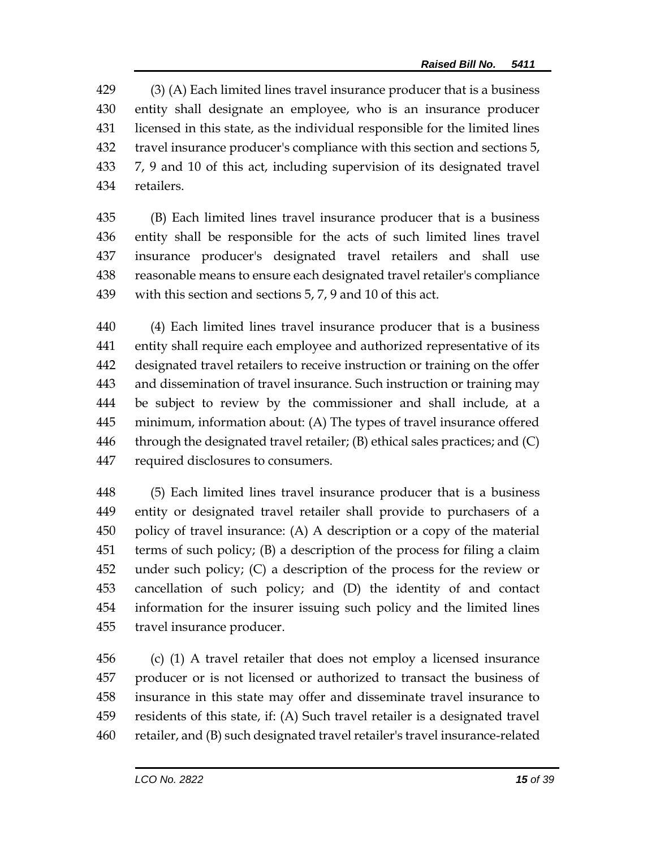(3) (A) Each limited lines travel insurance producer that is a business entity shall designate an employee, who is an insurance producer licensed in this state, as the individual responsible for the limited lines travel insurance producer's compliance with this section and sections 5, 7, 9 and 10 of this act, including supervision of its designated travel retailers.

 (B) Each limited lines travel insurance producer that is a business entity shall be responsible for the acts of such limited lines travel insurance producer's designated travel retailers and shall use reasonable means to ensure each designated travel retailer's compliance with this section and sections 5, 7, 9 and 10 of this act.

 (4) Each limited lines travel insurance producer that is a business entity shall require each employee and authorized representative of its designated travel retailers to receive instruction or training on the offer and dissemination of travel insurance. Such instruction or training may be subject to review by the commissioner and shall include, at a minimum, information about: (A) The types of travel insurance offered 446 through the designated travel retailer;  $(B)$  ethical sales practices; and  $(C)$ required disclosures to consumers.

 (5) Each limited lines travel insurance producer that is a business entity or designated travel retailer shall provide to purchasers of a policy of travel insurance: (A) A description or a copy of the material terms of such policy; (B) a description of the process for filing a claim under such policy; (C) a description of the process for the review or cancellation of such policy; and (D) the identity of and contact information for the insurer issuing such policy and the limited lines travel insurance producer.

 (c) (1) A travel retailer that does not employ a licensed insurance producer or is not licensed or authorized to transact the business of insurance in this state may offer and disseminate travel insurance to residents of this state, if: (A) Such travel retailer is a designated travel retailer, and (B) such designated travel retailer's travel insurance-related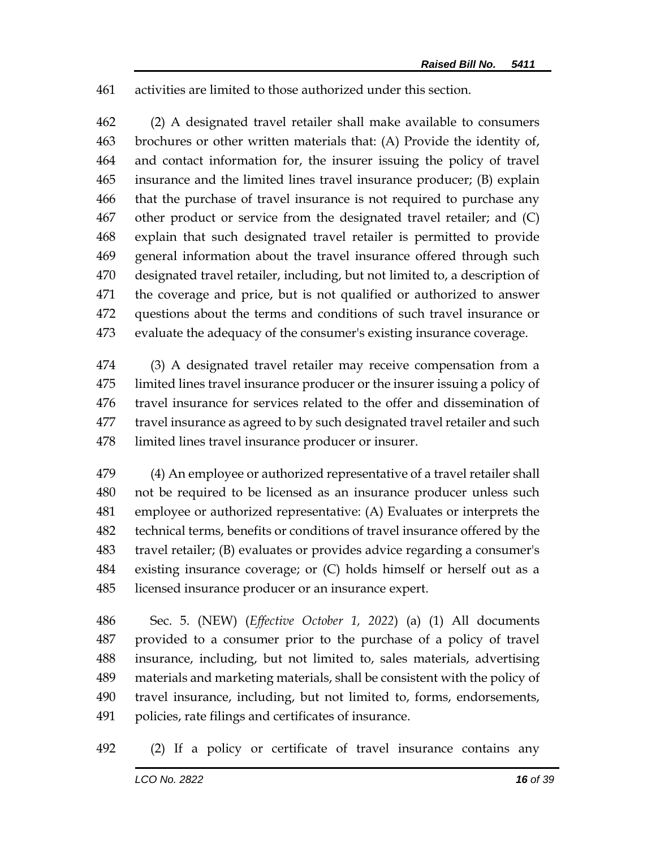activities are limited to those authorized under this section.

 (2) A designated travel retailer shall make available to consumers brochures or other written materials that: (A) Provide the identity of, and contact information for, the insurer issuing the policy of travel insurance and the limited lines travel insurance producer; (B) explain that the purchase of travel insurance is not required to purchase any other product or service from the designated travel retailer; and (C) explain that such designated travel retailer is permitted to provide general information about the travel insurance offered through such designated travel retailer, including, but not limited to, a description of the coverage and price, but is not qualified or authorized to answer questions about the terms and conditions of such travel insurance or evaluate the adequacy of the consumer's existing insurance coverage.

 (3) A designated travel retailer may receive compensation from a limited lines travel insurance producer or the insurer issuing a policy of travel insurance for services related to the offer and dissemination of travel insurance as agreed to by such designated travel retailer and such limited lines travel insurance producer or insurer.

 (4) An employee or authorized representative of a travel retailer shall not be required to be licensed as an insurance producer unless such employee or authorized representative: (A) Evaluates or interprets the technical terms, benefits or conditions of travel insurance offered by the travel retailer; (B) evaluates or provides advice regarding a consumer's existing insurance coverage; or (C) holds himself or herself out as a licensed insurance producer or an insurance expert.

 Sec. 5. (NEW) (*Effective October 1, 2022*) (a) (1) All documents provided to a consumer prior to the purchase of a policy of travel insurance, including, but not limited to, sales materials, advertising materials and marketing materials, shall be consistent with the policy of travel insurance, including, but not limited to, forms, endorsements, policies, rate filings and certificates of insurance.

(2) If a policy or certificate of travel insurance contains any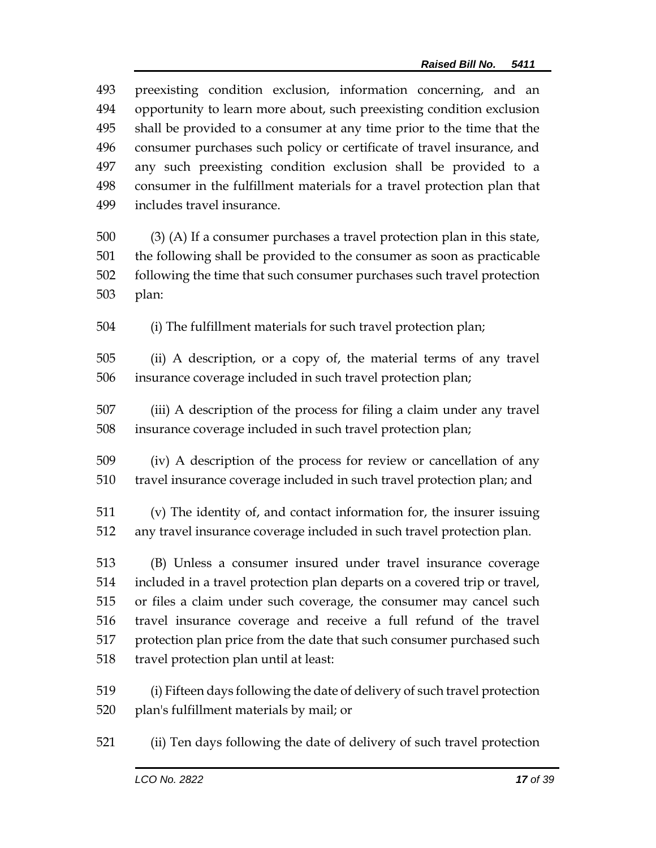| 493<br>494<br>495<br>496<br>497<br>498<br>499 | preexisting condition exclusion, information concerning, and an<br>opportunity to learn more about, such preexisting condition exclusion<br>shall be provided to a consumer at any time prior to the time that the<br>consumer purchases such policy or certificate of travel insurance, and<br>any such preexisting condition exclusion shall be provided to a<br>consumer in the fulfillment materials for a travel protection plan that<br>includes travel insurance. |  |  |  |
|-----------------------------------------------|--------------------------------------------------------------------------------------------------------------------------------------------------------------------------------------------------------------------------------------------------------------------------------------------------------------------------------------------------------------------------------------------------------------------------------------------------------------------------|--|--|--|
| 500                                           | (3) (A) If a consumer purchases a travel protection plan in this state,                                                                                                                                                                                                                                                                                                                                                                                                  |  |  |  |
| 501                                           | the following shall be provided to the consumer as soon as practicable                                                                                                                                                                                                                                                                                                                                                                                                   |  |  |  |
| 502                                           | following the time that such consumer purchases such travel protection                                                                                                                                                                                                                                                                                                                                                                                                   |  |  |  |
| 503                                           | plan:                                                                                                                                                                                                                                                                                                                                                                                                                                                                    |  |  |  |
| 504                                           | (i) The fulfillment materials for such travel protection plan;                                                                                                                                                                                                                                                                                                                                                                                                           |  |  |  |
| 505                                           | (ii) A description, or a copy of, the material terms of any travel                                                                                                                                                                                                                                                                                                                                                                                                       |  |  |  |
| 506                                           | insurance coverage included in such travel protection plan;                                                                                                                                                                                                                                                                                                                                                                                                              |  |  |  |
| 507                                           | (iii) A description of the process for filing a claim under any travel                                                                                                                                                                                                                                                                                                                                                                                                   |  |  |  |
| 508                                           | insurance coverage included in such travel protection plan;                                                                                                                                                                                                                                                                                                                                                                                                              |  |  |  |
| 509                                           | (iv) A description of the process for review or cancellation of any                                                                                                                                                                                                                                                                                                                                                                                                      |  |  |  |
| 510                                           | travel insurance coverage included in such travel protection plan; and                                                                                                                                                                                                                                                                                                                                                                                                   |  |  |  |
| 511                                           | (v) The identity of, and contact information for, the insurer issuing                                                                                                                                                                                                                                                                                                                                                                                                    |  |  |  |
| 512                                           | any travel insurance coverage included in such travel protection plan.                                                                                                                                                                                                                                                                                                                                                                                                   |  |  |  |
| 513                                           | (B) Unless a consumer insured under travel insurance coverage                                                                                                                                                                                                                                                                                                                                                                                                            |  |  |  |
| 514                                           | included in a travel protection plan departs on a covered trip or travel,                                                                                                                                                                                                                                                                                                                                                                                                |  |  |  |
| 515                                           | or files a claim under such coverage, the consumer may cancel such                                                                                                                                                                                                                                                                                                                                                                                                       |  |  |  |
| 516                                           | travel insurance coverage and receive a full refund of the travel                                                                                                                                                                                                                                                                                                                                                                                                        |  |  |  |
| 517                                           | protection plan price from the date that such consumer purchased such                                                                                                                                                                                                                                                                                                                                                                                                    |  |  |  |
| 518                                           | travel protection plan until at least:                                                                                                                                                                                                                                                                                                                                                                                                                                   |  |  |  |
| 519                                           | (i) Fifteen days following the date of delivery of such travel protection                                                                                                                                                                                                                                                                                                                                                                                                |  |  |  |
| 520                                           | plan's fulfillment materials by mail; or                                                                                                                                                                                                                                                                                                                                                                                                                                 |  |  |  |
| 521                                           | (ii) Ten days following the date of delivery of such travel protection                                                                                                                                                                                                                                                                                                                                                                                                   |  |  |  |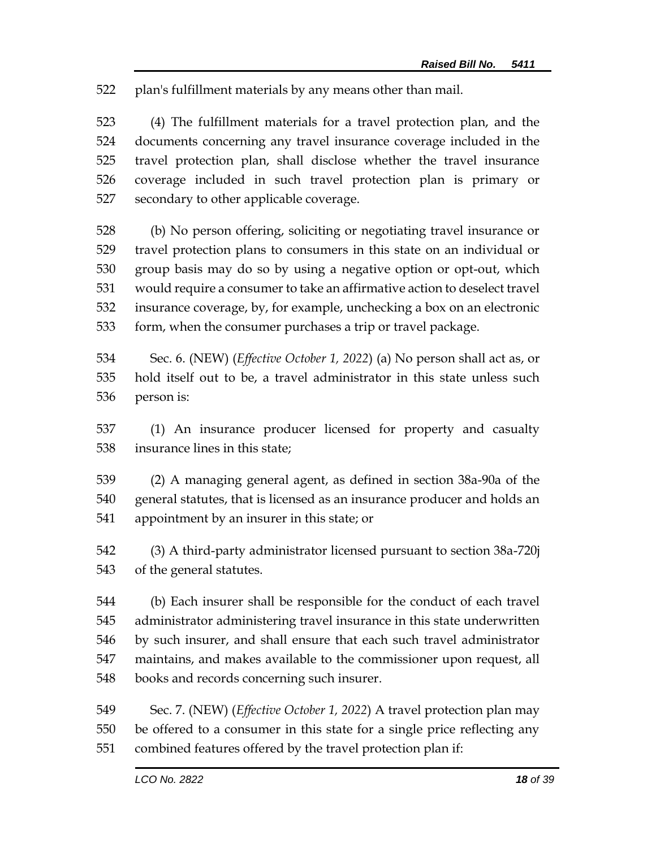plan's fulfillment materials by any means other than mail.

 (4) The fulfillment materials for a travel protection plan, and the documents concerning any travel insurance coverage included in the travel protection plan, shall disclose whether the travel insurance coverage included in such travel protection plan is primary or secondary to other applicable coverage.

 (b) No person offering, soliciting or negotiating travel insurance or travel protection plans to consumers in this state on an individual or group basis may do so by using a negative option or opt-out, which would require a consumer to take an affirmative action to deselect travel insurance coverage, by, for example, unchecking a box on an electronic form, when the consumer purchases a trip or travel package.

 Sec. 6. (NEW) (*Effective October 1, 2022*) (a) No person shall act as, or hold itself out to be, a travel administrator in this state unless such person is:

 (1) An insurance producer licensed for property and casualty insurance lines in this state;

 (2) A managing general agent, as defined in section 38a-90a of the general statutes, that is licensed as an insurance producer and holds an appointment by an insurer in this state; or

 (3) A third-party administrator licensed pursuant to section 38a-720j of the general statutes.

 (b) Each insurer shall be responsible for the conduct of each travel administrator administering travel insurance in this state underwritten by such insurer, and shall ensure that each such travel administrator maintains, and makes available to the commissioner upon request, all books and records concerning such insurer.

 Sec. 7. (NEW) (*Effective October 1, 2022*) A travel protection plan may be offered to a consumer in this state for a single price reflecting any combined features offered by the travel protection plan if: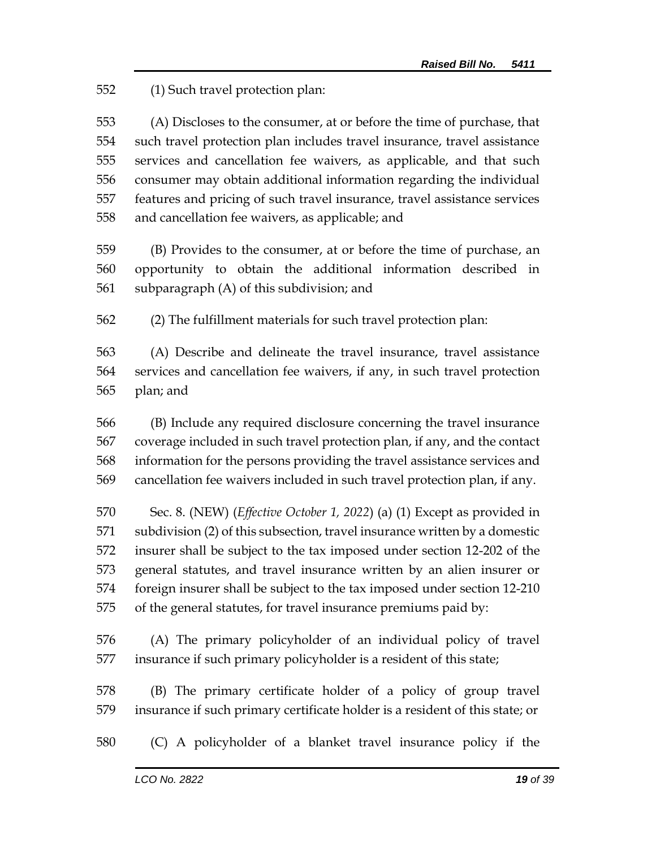(1) Such travel protection plan:

 (A) Discloses to the consumer, at or before the time of purchase, that such travel protection plan includes travel insurance, travel assistance services and cancellation fee waivers, as applicable, and that such consumer may obtain additional information regarding the individual features and pricing of such travel insurance, travel assistance services and cancellation fee waivers, as applicable; and

 (B) Provides to the consumer, at or before the time of purchase, an opportunity to obtain the additional information described in subparagraph (A) of this subdivision; and

(2) The fulfillment materials for such travel protection plan:

 (A) Describe and delineate the travel insurance, travel assistance services and cancellation fee waivers, if any, in such travel protection plan; and

 (B) Include any required disclosure concerning the travel insurance coverage included in such travel protection plan, if any, and the contact information for the persons providing the travel assistance services and cancellation fee waivers included in such travel protection plan, if any.

 Sec. 8. (NEW) (*Effective October 1, 2022*) (a) (1) Except as provided in subdivision (2) of this subsection, travel insurance written by a domestic insurer shall be subject to the tax imposed under section 12-202 of the general statutes, and travel insurance written by an alien insurer or foreign insurer shall be subject to the tax imposed under section 12-210 of the general statutes, for travel insurance premiums paid by:

 (A) The primary policyholder of an individual policy of travel insurance if such primary policyholder is a resident of this state;

 (B) The primary certificate holder of a policy of group travel insurance if such primary certificate holder is a resident of this state; or

(C) A policyholder of a blanket travel insurance policy if the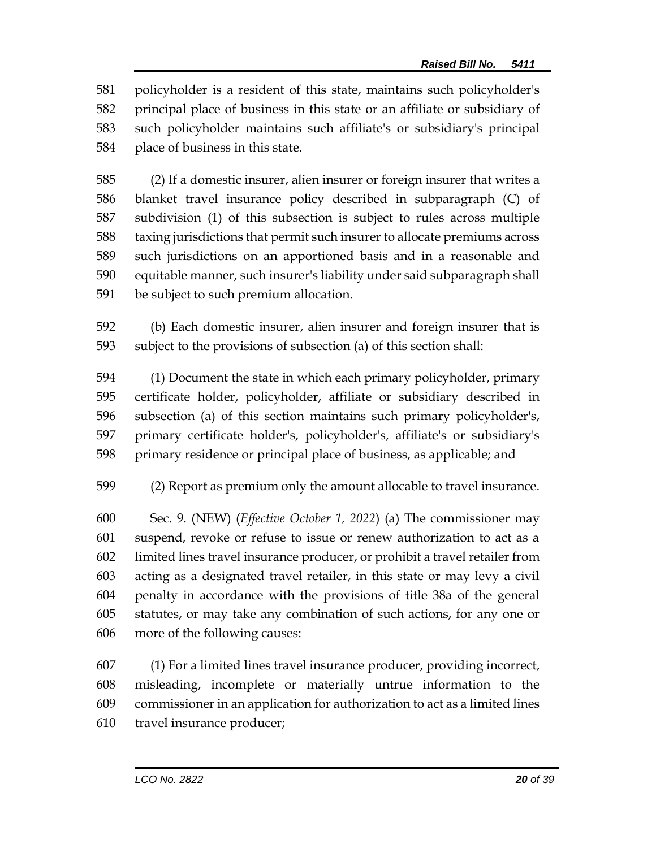policyholder is a resident of this state, maintains such policyholder's principal place of business in this state or an affiliate or subsidiary of such policyholder maintains such affiliate's or subsidiary's principal place of business in this state.

 (2) If a domestic insurer, alien insurer or foreign insurer that writes a blanket travel insurance policy described in subparagraph (C) of subdivision (1) of this subsection is subject to rules across multiple taxing jurisdictions that permit such insurer to allocate premiums across such jurisdictions on an apportioned basis and in a reasonable and equitable manner, such insurer's liability under said subparagraph shall be subject to such premium allocation.

 (b) Each domestic insurer, alien insurer and foreign insurer that is subject to the provisions of subsection (a) of this section shall:

 (1) Document the state in which each primary policyholder, primary certificate holder, policyholder, affiliate or subsidiary described in subsection (a) of this section maintains such primary policyholder's, primary certificate holder's, policyholder's, affiliate's or subsidiary's primary residence or principal place of business, as applicable; and

(2) Report as premium only the amount allocable to travel insurance.

 Sec. 9. (NEW) (*Effective October 1, 2022*) (a) The commissioner may suspend, revoke or refuse to issue or renew authorization to act as a limited lines travel insurance producer, or prohibit a travel retailer from acting as a designated travel retailer, in this state or may levy a civil penalty in accordance with the provisions of title 38a of the general statutes, or may take any combination of such actions, for any one or more of the following causes:

 (1) For a limited lines travel insurance producer, providing incorrect, misleading, incomplete or materially untrue information to the commissioner in an application for authorization to act as a limited lines travel insurance producer;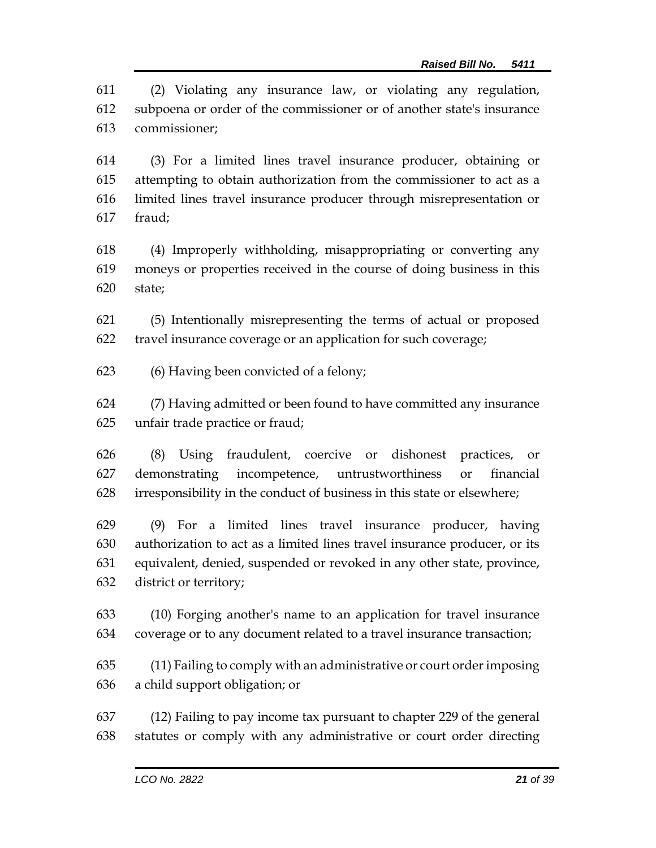(2) Violating any insurance law, or violating any regulation, subpoena or order of the commissioner or of another state's insurance commissioner;

 (3) For a limited lines travel insurance producer, obtaining or attempting to obtain authorization from the commissioner to act as a limited lines travel insurance producer through misrepresentation or fraud;

 (4) Improperly withholding, misappropriating or converting any moneys or properties received in the course of doing business in this state;

 (5) Intentionally misrepresenting the terms of actual or proposed travel insurance coverage or an application for such coverage;

(6) Having been convicted of a felony;

 (7) Having admitted or been found to have committed any insurance unfair trade practice or fraud;

 (8) Using fraudulent, coercive or dishonest practices, or demonstrating incompetence, untrustworthiness or financial irresponsibility in the conduct of business in this state or elsewhere;

 (9) For a limited lines travel insurance producer, having authorization to act as a limited lines travel insurance producer, or its equivalent, denied, suspended or revoked in any other state, province, district or territory;

 (10) Forging another's name to an application for travel insurance coverage or to any document related to a travel insurance transaction;

 (11) Failing to comply with an administrative or court order imposing a child support obligation; or

 (12) Failing to pay income tax pursuant to chapter 229 of the general statutes or comply with any administrative or court order directing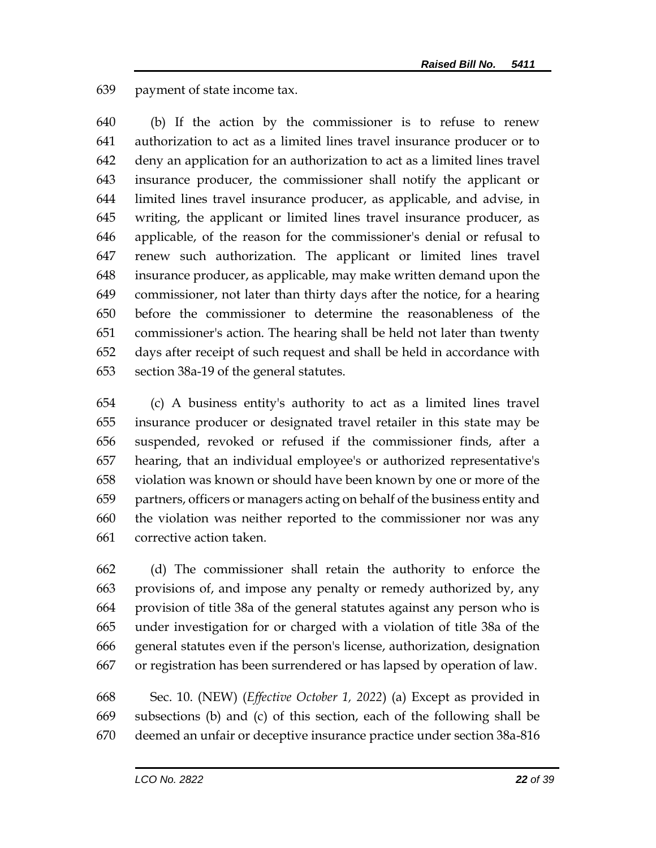payment of state income tax.

 (b) If the action by the commissioner is to refuse to renew authorization to act as a limited lines travel insurance producer or to deny an application for an authorization to act as a limited lines travel insurance producer, the commissioner shall notify the applicant or limited lines travel insurance producer, as applicable, and advise, in writing, the applicant or limited lines travel insurance producer, as applicable, of the reason for the commissioner's denial or refusal to renew such authorization. The applicant or limited lines travel insurance producer, as applicable, may make written demand upon the commissioner, not later than thirty days after the notice, for a hearing before the commissioner to determine the reasonableness of the commissioner's action. The hearing shall be held not later than twenty days after receipt of such request and shall be held in accordance with section 38a-19 of the general statutes.

 (c) A business entity's authority to act as a limited lines travel insurance producer or designated travel retailer in this state may be suspended, revoked or refused if the commissioner finds, after a hearing, that an individual employee's or authorized representative's violation was known or should have been known by one or more of the partners, officers or managers acting on behalf of the business entity and the violation was neither reported to the commissioner nor was any corrective action taken.

 (d) The commissioner shall retain the authority to enforce the provisions of, and impose any penalty or remedy authorized by, any provision of title 38a of the general statutes against any person who is under investigation for or charged with a violation of title 38a of the general statutes even if the person's license, authorization, designation or registration has been surrendered or has lapsed by operation of law.

 Sec. 10. (NEW) (*Effective October 1, 2022*) (a) Except as provided in subsections (b) and (c) of this section, each of the following shall be deemed an unfair or deceptive insurance practice under section 38a-816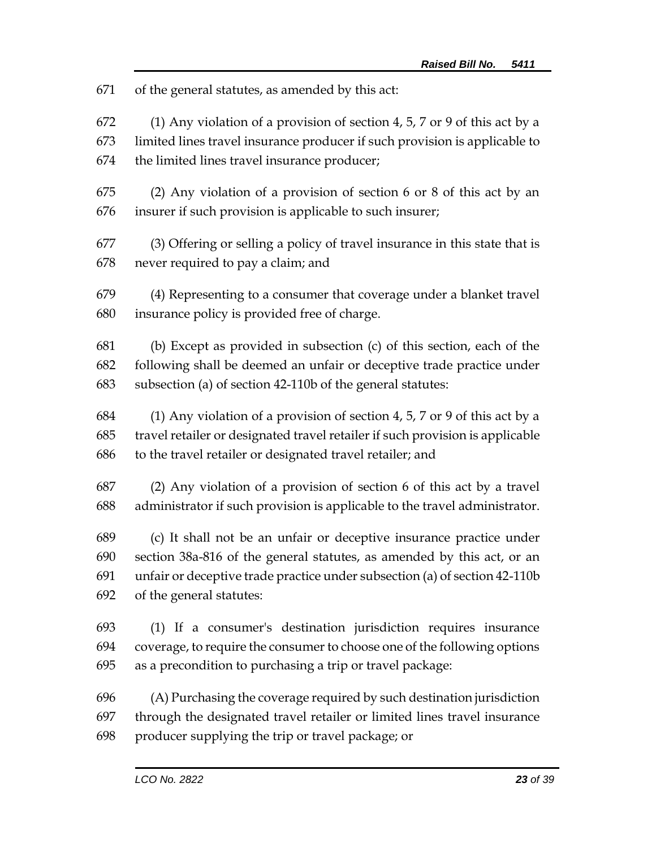of the general statutes, as amended by this act:

 (1) Any violation of a provision of section 4, 5, 7 or 9 of this act by a limited lines travel insurance producer if such provision is applicable to the limited lines travel insurance producer;

 (2) Any violation of a provision of section 6 or 8 of this act by an insurer if such provision is applicable to such insurer;

 (3) Offering or selling a policy of travel insurance in this state that is never required to pay a claim; and

 (4) Representing to a consumer that coverage under a blanket travel insurance policy is provided free of charge.

 (b) Except as provided in subsection (c) of this section, each of the following shall be deemed an unfair or deceptive trade practice under subsection (a) of section 42-110b of the general statutes:

 (1) Any violation of a provision of section 4, 5, 7 or 9 of this act by a travel retailer or designated travel retailer if such provision is applicable to the travel retailer or designated travel retailer; and

 (2) Any violation of a provision of section 6 of this act by a travel administrator if such provision is applicable to the travel administrator.

 (c) It shall not be an unfair or deceptive insurance practice under section 38a-816 of the general statutes, as amended by this act, or an unfair or deceptive trade practice under subsection (a) of section 42-110b of the general statutes:

 (1) If a consumer's destination jurisdiction requires insurance coverage, to require the consumer to choose one of the following options as a precondition to purchasing a trip or travel package:

 (A) Purchasing the coverage required by such destination jurisdiction through the designated travel retailer or limited lines travel insurance producer supplying the trip or travel package; or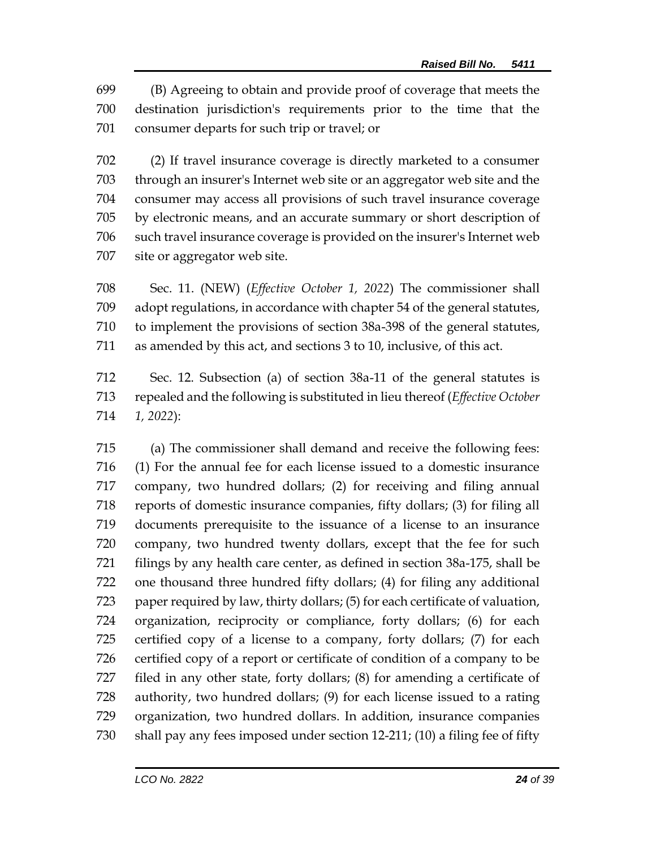(B) Agreeing to obtain and provide proof of coverage that meets the destination jurisdiction's requirements prior to the time that the consumer departs for such trip or travel; or

 (2) If travel insurance coverage is directly marketed to a consumer through an insurer's Internet web site or an aggregator web site and the consumer may access all provisions of such travel insurance coverage by electronic means, and an accurate summary or short description of such travel insurance coverage is provided on the insurer's Internet web site or aggregator web site.

 Sec. 11. (NEW) (*Effective October 1, 2022*) The commissioner shall adopt regulations, in accordance with chapter 54 of the general statutes, to implement the provisions of section 38a-398 of the general statutes, as amended by this act, and sections 3 to 10, inclusive, of this act.

 Sec. 12. Subsection (a) of section 38a-11 of the general statutes is repealed and the following is substituted in lieu thereof (*Effective October 1, 2022*):

 (a) The commissioner shall demand and receive the following fees: (1) For the annual fee for each license issued to a domestic insurance company, two hundred dollars; (2) for receiving and filing annual reports of domestic insurance companies, fifty dollars; (3) for filing all documents prerequisite to the issuance of a license to an insurance company, two hundred twenty dollars, except that the fee for such filings by any health care center, as defined in section 38a-175, shall be one thousand three hundred fifty dollars; (4) for filing any additional paper required by law, thirty dollars; (5) for each certificate of valuation, organization, reciprocity or compliance, forty dollars; (6) for each certified copy of a license to a company, forty dollars; (7) for each certified copy of a report or certificate of condition of a company to be filed in any other state, forty dollars; (8) for amending a certificate of authority, two hundred dollars; (9) for each license issued to a rating organization, two hundred dollars. In addition, insurance companies shall pay any fees imposed under section 12-211; (10) a filing fee of fifty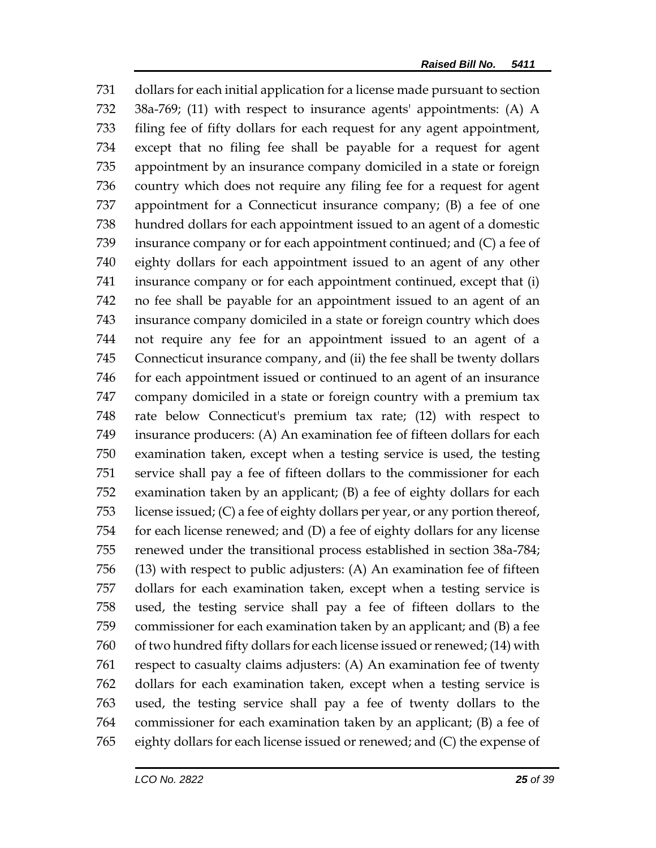dollars for each initial application for a license made pursuant to section 38a-769; (11) with respect to insurance agents' appointments: (A) A filing fee of fifty dollars for each request for any agent appointment, except that no filing fee shall be payable for a request for agent appointment by an insurance company domiciled in a state or foreign country which does not require any filing fee for a request for agent appointment for a Connecticut insurance company; (B) a fee of one hundred dollars for each appointment issued to an agent of a domestic insurance company or for each appointment continued; and (C) a fee of eighty dollars for each appointment issued to an agent of any other insurance company or for each appointment continued, except that (i) no fee shall be payable for an appointment issued to an agent of an insurance company domiciled in a state or foreign country which does not require any fee for an appointment issued to an agent of a Connecticut insurance company, and (ii) the fee shall be twenty dollars for each appointment issued or continued to an agent of an insurance company domiciled in a state or foreign country with a premium tax rate below Connecticut's premium tax rate; (12) with respect to insurance producers: (A) An examination fee of fifteen dollars for each examination taken, except when a testing service is used, the testing service shall pay a fee of fifteen dollars to the commissioner for each examination taken by an applicant; (B) a fee of eighty dollars for each license issued; (C) a fee of eighty dollars per year, or any portion thereof, for each license renewed; and (D) a fee of eighty dollars for any license renewed under the transitional process established in section 38a-784; (13) with respect to public adjusters: (A) An examination fee of fifteen dollars for each examination taken, except when a testing service is used, the testing service shall pay a fee of fifteen dollars to the commissioner for each examination taken by an applicant; and (B) a fee of two hundred fifty dollars for each license issued or renewed; (14) with respect to casualty claims adjusters: (A) An examination fee of twenty dollars for each examination taken, except when a testing service is used, the testing service shall pay a fee of twenty dollars to the commissioner for each examination taken by an applicant; (B) a fee of eighty dollars for each license issued or renewed; and (C) the expense of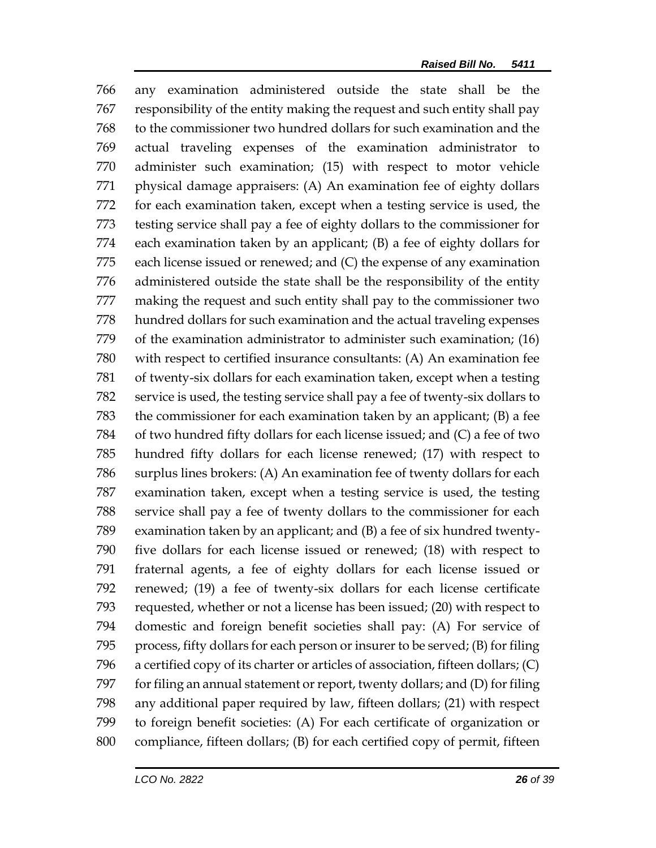any examination administered outside the state shall be the responsibility of the entity making the request and such entity shall pay to the commissioner two hundred dollars for such examination and the actual traveling expenses of the examination administrator to administer such examination; (15) with respect to motor vehicle physical damage appraisers: (A) An examination fee of eighty dollars for each examination taken, except when a testing service is used, the testing service shall pay a fee of eighty dollars to the commissioner for each examination taken by an applicant; (B) a fee of eighty dollars for each license issued or renewed; and (C) the expense of any examination administered outside the state shall be the responsibility of the entity making the request and such entity shall pay to the commissioner two hundred dollars for such examination and the actual traveling expenses of the examination administrator to administer such examination; (16) with respect to certified insurance consultants: (A) An examination fee of twenty-six dollars for each examination taken, except when a testing service is used, the testing service shall pay a fee of twenty-six dollars to the commissioner for each examination taken by an applicant; (B) a fee of two hundred fifty dollars for each license issued; and (C) a fee of two hundred fifty dollars for each license renewed; (17) with respect to surplus lines brokers: (A) An examination fee of twenty dollars for each examination taken, except when a testing service is used, the testing service shall pay a fee of twenty dollars to the commissioner for each examination taken by an applicant; and (B) a fee of six hundred twenty- five dollars for each license issued or renewed; (18) with respect to fraternal agents, a fee of eighty dollars for each license issued or renewed; (19) a fee of twenty-six dollars for each license certificate requested, whether or not a license has been issued; (20) with respect to domestic and foreign benefit societies shall pay: (A) For service of process, fifty dollars for each person or insurer to be served; (B) for filing a certified copy of its charter or articles of association, fifteen dollars; (C) for filing an annual statement or report, twenty dollars; and (D) for filing any additional paper required by law, fifteen dollars; (21) with respect to foreign benefit societies: (A) For each certificate of organization or compliance, fifteen dollars; (B) for each certified copy of permit, fifteen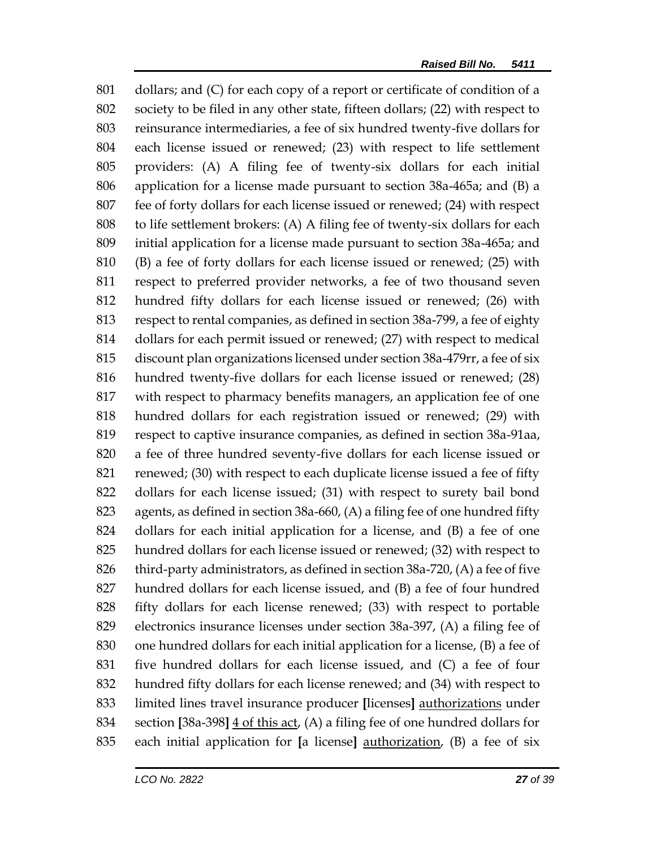dollars; and (C) for each copy of a report or certificate of condition of a society to be filed in any other state, fifteen dollars; (22) with respect to reinsurance intermediaries, a fee of six hundred twenty-five dollars for each license issued or renewed; (23) with respect to life settlement providers: (A) A filing fee of twenty-six dollars for each initial application for a license made pursuant to section 38a-465a; and (B) a fee of forty dollars for each license issued or renewed; (24) with respect to life settlement brokers: (A) A filing fee of twenty-six dollars for each initial application for a license made pursuant to section 38a-465a; and (B) a fee of forty dollars for each license issued or renewed; (25) with respect to preferred provider networks, a fee of two thousand seven hundred fifty dollars for each license issued or renewed; (26) with respect to rental companies, as defined in section 38a-799, a fee of eighty dollars for each permit issued or renewed; (27) with respect to medical discount plan organizations licensed under section 38a-479rr, a fee of six hundred twenty-five dollars for each license issued or renewed; (28) with respect to pharmacy benefits managers, an application fee of one hundred dollars for each registration issued or renewed; (29) with respect to captive insurance companies, as defined in section 38a-91aa, a fee of three hundred seventy-five dollars for each license issued or renewed; (30) with respect to each duplicate license issued a fee of fifty dollars for each license issued; (31) with respect to surety bail bond agents, as defined in section 38a-660, (A) a filing fee of one hundred fifty dollars for each initial application for a license, and (B) a fee of one hundred dollars for each license issued or renewed; (32) with respect to third-party administrators, as defined in section 38a-720, (A) a fee of five hundred dollars for each license issued, and (B) a fee of four hundred fifty dollars for each license renewed; (33) with respect to portable electronics insurance licenses under section 38a-397, (A) a filing fee of one hundred dollars for each initial application for a license, (B) a fee of five hundred dollars for each license issued, and (C) a fee of four hundred fifty dollars for each license renewed; and (34) with respect to limited lines travel insurance producer **[**licenses**]** authorizations under section **[**38a-398**]** 4 of this act, (A) a filing fee of one hundred dollars for each initial application for **[**a license**]** authorization, (B) a fee of six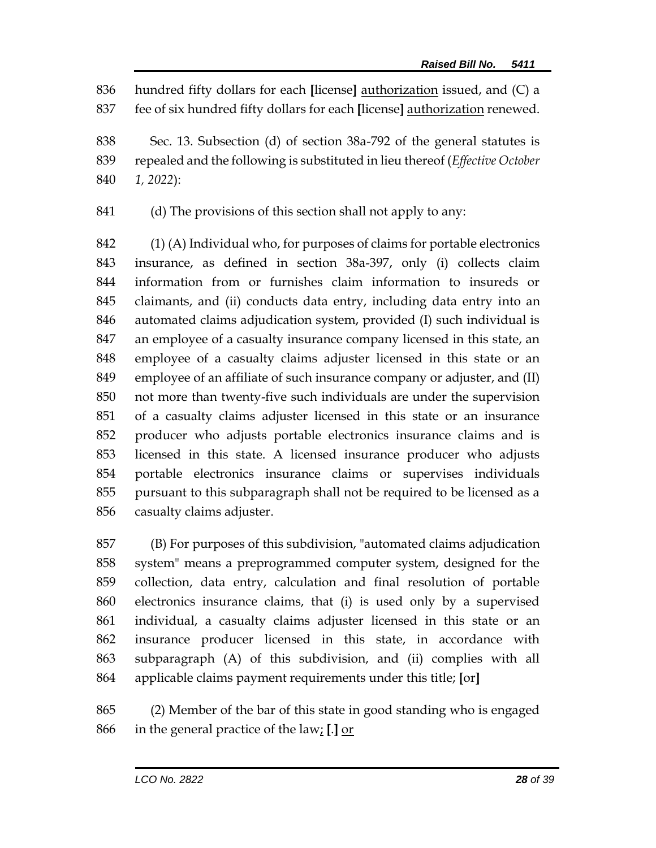hundred fifty dollars for each **[**license**]** authorization issued, and (C) a fee of six hundred fifty dollars for each **[**license**]** authorization renewed.

 Sec. 13. Subsection (d) of section 38a-792 of the general statutes is repealed and the following is substituted in lieu thereof (*Effective October 1, 2022*):

(d) The provisions of this section shall not apply to any:

 (1) (A) Individual who, for purposes of claims for portable electronics insurance, as defined in section 38a-397, only (i) collects claim information from or furnishes claim information to insureds or claimants, and (ii) conducts data entry, including data entry into an automated claims adjudication system, provided (I) such individual is an employee of a casualty insurance company licensed in this state, an employee of a casualty claims adjuster licensed in this state or an employee of an affiliate of such insurance company or adjuster, and (II) not more than twenty-five such individuals are under the supervision of a casualty claims adjuster licensed in this state or an insurance producer who adjusts portable electronics insurance claims and is licensed in this state. A licensed insurance producer who adjusts portable electronics insurance claims or supervises individuals pursuant to this subparagraph shall not be required to be licensed as a casualty claims adjuster.

 (B) For purposes of this subdivision, "automated claims adjudication system" means a preprogrammed computer system, designed for the collection, data entry, calculation and final resolution of portable electronics insurance claims, that (i) is used only by a supervised individual, a casualty claims adjuster licensed in this state or an insurance producer licensed in this state, in accordance with subparagraph (A) of this subdivision, and (ii) complies with all applicable claims payment requirements under this title; **[**or**]**

 (2) Member of the bar of this state in good standing who is engaged in the general practice of the law; **[**.**]** or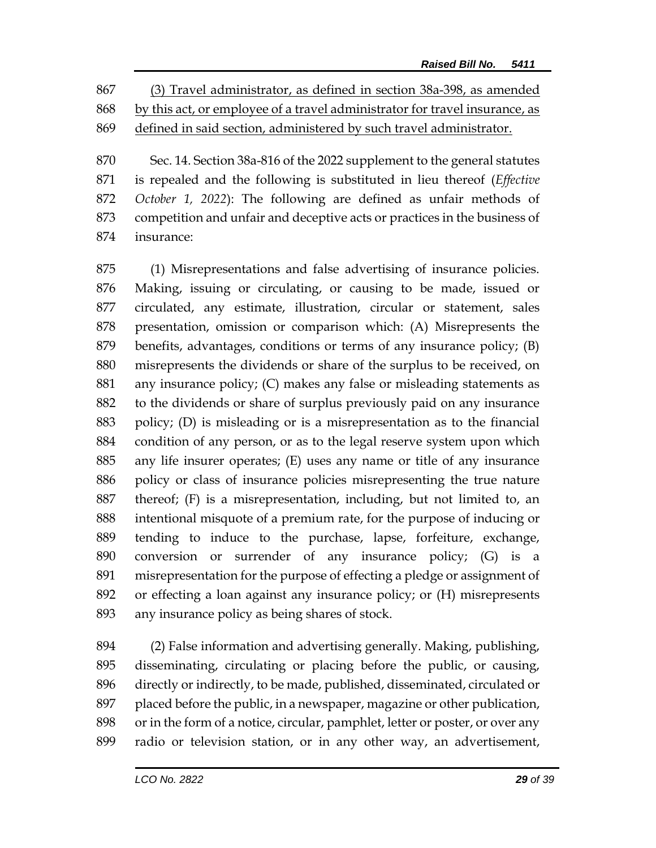(3) Travel administrator, as defined in section 38a-398, as amended by this act, or employee of a travel administrator for travel insurance, as defined in said section, administered by such travel administrator.

 Sec. 14. Section 38a-816 of the 2022 supplement to the general statutes is repealed and the following is substituted in lieu thereof (*Effective October 1, 2022*): The following are defined as unfair methods of competition and unfair and deceptive acts or practices in the business of insurance:

 (1) Misrepresentations and false advertising of insurance policies. Making, issuing or circulating, or causing to be made, issued or circulated, any estimate, illustration, circular or statement, sales presentation, omission or comparison which: (A) Misrepresents the benefits, advantages, conditions or terms of any insurance policy; (B) misrepresents the dividends or share of the surplus to be received, on any insurance policy; (C) makes any false or misleading statements as to the dividends or share of surplus previously paid on any insurance policy; (D) is misleading or is a misrepresentation as to the financial condition of any person, or as to the legal reserve system upon which any life insurer operates; (E) uses any name or title of any insurance policy or class of insurance policies misrepresenting the true nature thereof; (F) is a misrepresentation, including, but not limited to, an intentional misquote of a premium rate, for the purpose of inducing or tending to induce to the purchase, lapse, forfeiture, exchange, conversion or surrender of any insurance policy; (G) is a misrepresentation for the purpose of effecting a pledge or assignment of or effecting a loan against any insurance policy; or (H) misrepresents any insurance policy as being shares of stock.

 (2) False information and advertising generally. Making, publishing, disseminating, circulating or placing before the public, or causing, directly or indirectly, to be made, published, disseminated, circulated or placed before the public, in a newspaper, magazine or other publication, or in the form of a notice, circular, pamphlet, letter or poster, or over any radio or television station, or in any other way, an advertisement,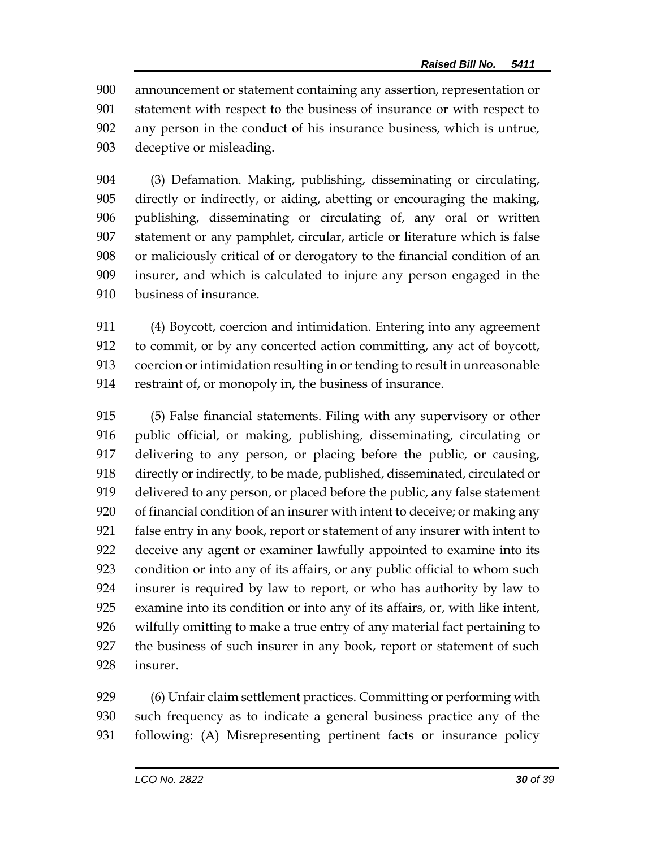announcement or statement containing any assertion, representation or statement with respect to the business of insurance or with respect to any person in the conduct of his insurance business, which is untrue, deceptive or misleading.

 (3) Defamation. Making, publishing, disseminating or circulating, directly or indirectly, or aiding, abetting or encouraging the making, publishing, disseminating or circulating of, any oral or written statement or any pamphlet, circular, article or literature which is false or maliciously critical of or derogatory to the financial condition of an insurer, and which is calculated to injure any person engaged in the business of insurance.

 (4) Boycott, coercion and intimidation. Entering into any agreement to commit, or by any concerted action committing, any act of boycott, coercion or intimidation resulting in or tending to result in unreasonable restraint of, or monopoly in, the business of insurance.

 (5) False financial statements. Filing with any supervisory or other public official, or making, publishing, disseminating, circulating or delivering to any person, or placing before the public, or causing, directly or indirectly, to be made, published, disseminated, circulated or delivered to any person, or placed before the public, any false statement of financial condition of an insurer with intent to deceive; or making any false entry in any book, report or statement of any insurer with intent to deceive any agent or examiner lawfully appointed to examine into its condition or into any of its affairs, or any public official to whom such insurer is required by law to report, or who has authority by law to examine into its condition or into any of its affairs, or, with like intent, wilfully omitting to make a true entry of any material fact pertaining to the business of such insurer in any book, report or statement of such insurer.

 (6) Unfair claim settlement practices. Committing or performing with such frequency as to indicate a general business practice any of the following: (A) Misrepresenting pertinent facts or insurance policy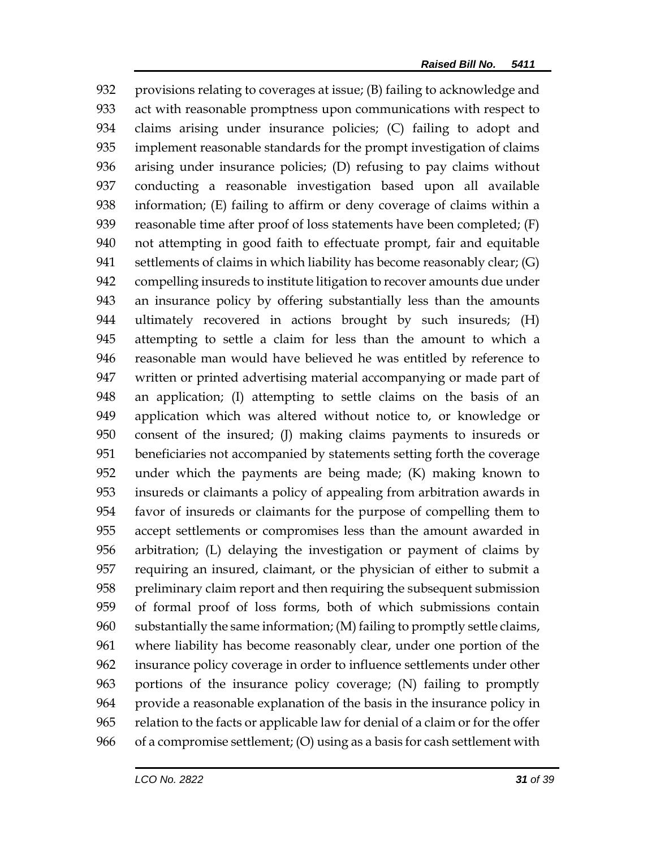provisions relating to coverages at issue; (B) failing to acknowledge and act with reasonable promptness upon communications with respect to claims arising under insurance policies; (C) failing to adopt and implement reasonable standards for the prompt investigation of claims arising under insurance policies; (D) refusing to pay claims without conducting a reasonable investigation based upon all available information; (E) failing to affirm or deny coverage of claims within a reasonable time after proof of loss statements have been completed; (F) not attempting in good faith to effectuate prompt, fair and equitable settlements of claims in which liability has become reasonably clear; (G) compelling insureds to institute litigation to recover amounts due under an insurance policy by offering substantially less than the amounts ultimately recovered in actions brought by such insureds; (H) attempting to settle a claim for less than the amount to which a reasonable man would have believed he was entitled by reference to written or printed advertising material accompanying or made part of an application; (I) attempting to settle claims on the basis of an application which was altered without notice to, or knowledge or consent of the insured; (J) making claims payments to insureds or beneficiaries not accompanied by statements setting forth the coverage under which the payments are being made; (K) making known to insureds or claimants a policy of appealing from arbitration awards in favor of insureds or claimants for the purpose of compelling them to accept settlements or compromises less than the amount awarded in arbitration; (L) delaying the investigation or payment of claims by requiring an insured, claimant, or the physician of either to submit a preliminary claim report and then requiring the subsequent submission of formal proof of loss forms, both of which submissions contain substantially the same information; (M) failing to promptly settle claims, where liability has become reasonably clear, under one portion of the insurance policy coverage in order to influence settlements under other portions of the insurance policy coverage; (N) failing to promptly provide a reasonable explanation of the basis in the insurance policy in relation to the facts or applicable law for denial of a claim or for the offer of a compromise settlement; (O) using as a basis for cash settlement with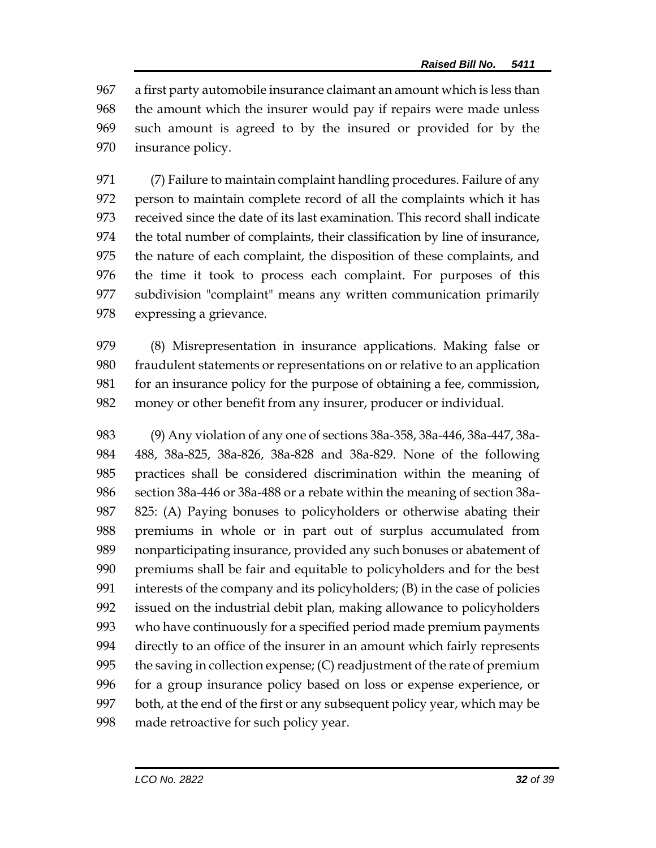a first party automobile insurance claimant an amount which is less than the amount which the insurer would pay if repairs were made unless such amount is agreed to by the insured or provided for by the insurance policy.

 (7) Failure to maintain complaint handling procedures. Failure of any person to maintain complete record of all the complaints which it has received since the date of its last examination. This record shall indicate the total number of complaints, their classification by line of insurance, the nature of each complaint, the disposition of these complaints, and the time it took to process each complaint. For purposes of this subdivision "complaint" means any written communication primarily expressing a grievance.

 (8) Misrepresentation in insurance applications. Making false or fraudulent statements or representations on or relative to an application for an insurance policy for the purpose of obtaining a fee, commission, money or other benefit from any insurer, producer or individual.

 (9) Any violation of any one of sections 38a-358, 38a-446, 38a-447, 38a- 488, 38a-825, 38a-826, 38a-828 and 38a-829. None of the following practices shall be considered discrimination within the meaning of section 38a-446 or 38a-488 or a rebate within the meaning of section 38a- 825: (A) Paying bonuses to policyholders or otherwise abating their premiums in whole or in part out of surplus accumulated from nonparticipating insurance, provided any such bonuses or abatement of premiums shall be fair and equitable to policyholders and for the best interests of the company and its policyholders; (B) in the case of policies issued on the industrial debit plan, making allowance to policyholders who have continuously for a specified period made premium payments directly to an office of the insurer in an amount which fairly represents the saving in collection expense; (C) readjustment of the rate of premium for a group insurance policy based on loss or expense experience, or both, at the end of the first or any subsequent policy year, which may be made retroactive for such policy year.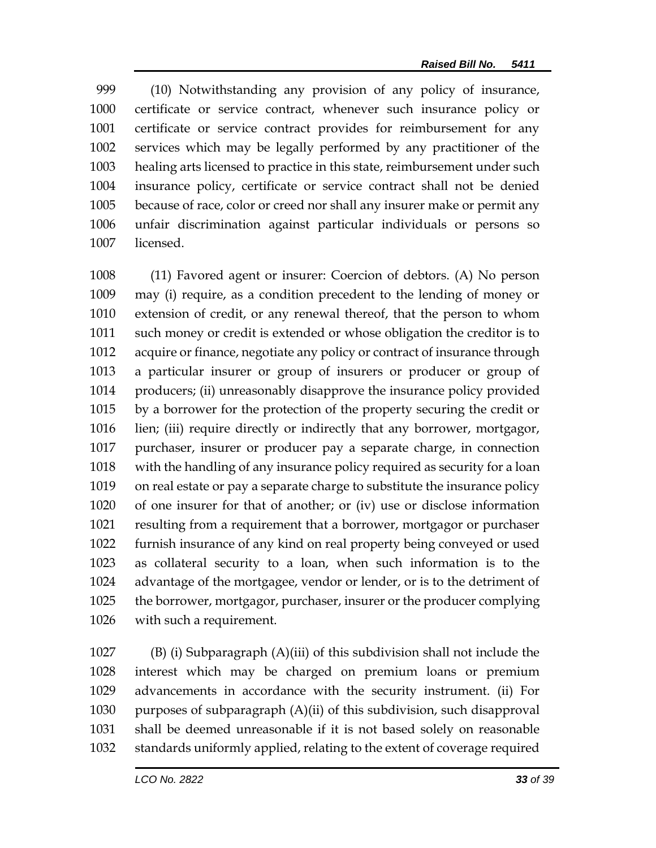(10) Notwithstanding any provision of any policy of insurance, certificate or service contract, whenever such insurance policy or certificate or service contract provides for reimbursement for any services which may be legally performed by any practitioner of the healing arts licensed to practice in this state, reimbursement under such insurance policy, certificate or service contract shall not be denied because of race, color or creed nor shall any insurer make or permit any unfair discrimination against particular individuals or persons so licensed.

 (11) Favored agent or insurer: Coercion of debtors. (A) No person may (i) require, as a condition precedent to the lending of money or extension of credit, or any renewal thereof, that the person to whom such money or credit is extended or whose obligation the creditor is to acquire or finance, negotiate any policy or contract of insurance through a particular insurer or group of insurers or producer or group of producers; (ii) unreasonably disapprove the insurance policy provided by a borrower for the protection of the property securing the credit or lien; (iii) require directly or indirectly that any borrower, mortgagor, purchaser, insurer or producer pay a separate charge, in connection with the handling of any insurance policy required as security for a loan on real estate or pay a separate charge to substitute the insurance policy of one insurer for that of another; or (iv) use or disclose information resulting from a requirement that a borrower, mortgagor or purchaser furnish insurance of any kind on real property being conveyed or used as collateral security to a loan, when such information is to the advantage of the mortgagee, vendor or lender, or is to the detriment of the borrower, mortgagor, purchaser, insurer or the producer complying with such a requirement.

 (B) (i) Subparagraph (A)(iii) of this subdivision shall not include the interest which may be charged on premium loans or premium advancements in accordance with the security instrument. (ii) For purposes of subparagraph (A)(ii) of this subdivision, such disapproval shall be deemed unreasonable if it is not based solely on reasonable standards uniformly applied, relating to the extent of coverage required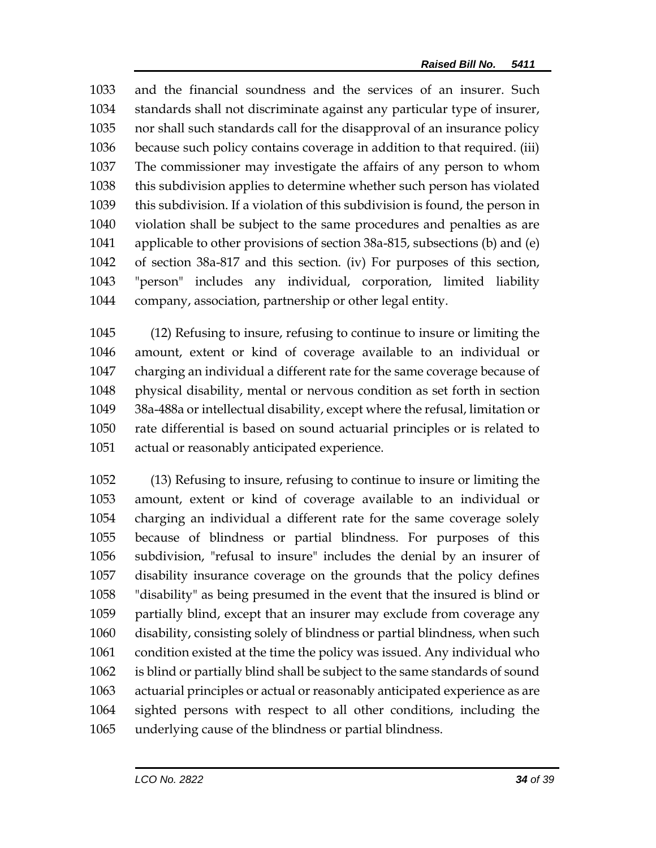and the financial soundness and the services of an insurer. Such standards shall not discriminate against any particular type of insurer, nor shall such standards call for the disapproval of an insurance policy because such policy contains coverage in addition to that required. (iii) The commissioner may investigate the affairs of any person to whom this subdivision applies to determine whether such person has violated this subdivision. If a violation of this subdivision is found, the person in violation shall be subject to the same procedures and penalties as are applicable to other provisions of section 38a-815, subsections (b) and (e) of section 38a-817 and this section. (iv) For purposes of this section, "person" includes any individual, corporation, limited liability company, association, partnership or other legal entity.

 (12) Refusing to insure, refusing to continue to insure or limiting the amount, extent or kind of coverage available to an individual or charging an individual a different rate for the same coverage because of physical disability, mental or nervous condition as set forth in section 38a-488a or intellectual disability, except where the refusal, limitation or rate differential is based on sound actuarial principles or is related to actual or reasonably anticipated experience.

 (13) Refusing to insure, refusing to continue to insure or limiting the amount, extent or kind of coverage available to an individual or charging an individual a different rate for the same coverage solely because of blindness or partial blindness. For purposes of this subdivision, "refusal to insure" includes the denial by an insurer of disability insurance coverage on the grounds that the policy defines "disability" as being presumed in the event that the insured is blind or partially blind, except that an insurer may exclude from coverage any disability, consisting solely of blindness or partial blindness, when such condition existed at the time the policy was issued. Any individual who is blind or partially blind shall be subject to the same standards of sound actuarial principles or actual or reasonably anticipated experience as are sighted persons with respect to all other conditions, including the underlying cause of the blindness or partial blindness.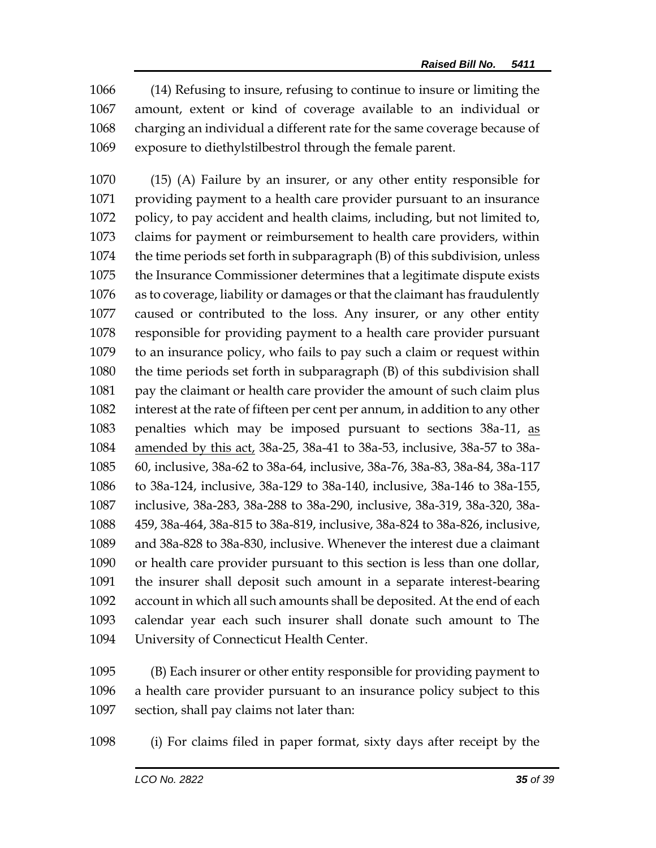(14) Refusing to insure, refusing to continue to insure or limiting the amount, extent or kind of coverage available to an individual or charging an individual a different rate for the same coverage because of exposure to diethylstilbestrol through the female parent.

 (15) (A) Failure by an insurer, or any other entity responsible for providing payment to a health care provider pursuant to an insurance policy, to pay accident and health claims, including, but not limited to, claims for payment or reimbursement to health care providers, within the time periods set forth in subparagraph (B) of this subdivision, unless the Insurance Commissioner determines that a legitimate dispute exists as to coverage, liability or damages or that the claimant has fraudulently caused or contributed to the loss. Any insurer, or any other entity responsible for providing payment to a health care provider pursuant to an insurance policy, who fails to pay such a claim or request within the time periods set forth in subparagraph (B) of this subdivision shall pay the claimant or health care provider the amount of such claim plus interest at the rate of fifteen per cent per annum, in addition to any other penalties which may be imposed pursuant to sections 38a-11, as amended by this act, 38a-25, 38a-41 to 38a-53, inclusive, 38a-57 to 38a- 60, inclusive, 38a-62 to 38a-64, inclusive, 38a-76, 38a-83, 38a-84, 38a-117 to 38a-124, inclusive, 38a-129 to 38a-140, inclusive, 38a-146 to 38a-155, inclusive, 38a-283, 38a-288 to 38a-290, inclusive, 38a-319, 38a-320, 38a- 459, 38a-464, 38a-815 to 38a-819, inclusive, 38a-824 to 38a-826, inclusive, and 38a-828 to 38a-830, inclusive. Whenever the interest due a claimant or health care provider pursuant to this section is less than one dollar, the insurer shall deposit such amount in a separate interest-bearing account in which all such amounts shall be deposited. At the end of each calendar year each such insurer shall donate such amount to The University of Connecticut Health Center.

 (B) Each insurer or other entity responsible for providing payment to a health care provider pursuant to an insurance policy subject to this section, shall pay claims not later than:

(i) For claims filed in paper format, sixty days after receipt by the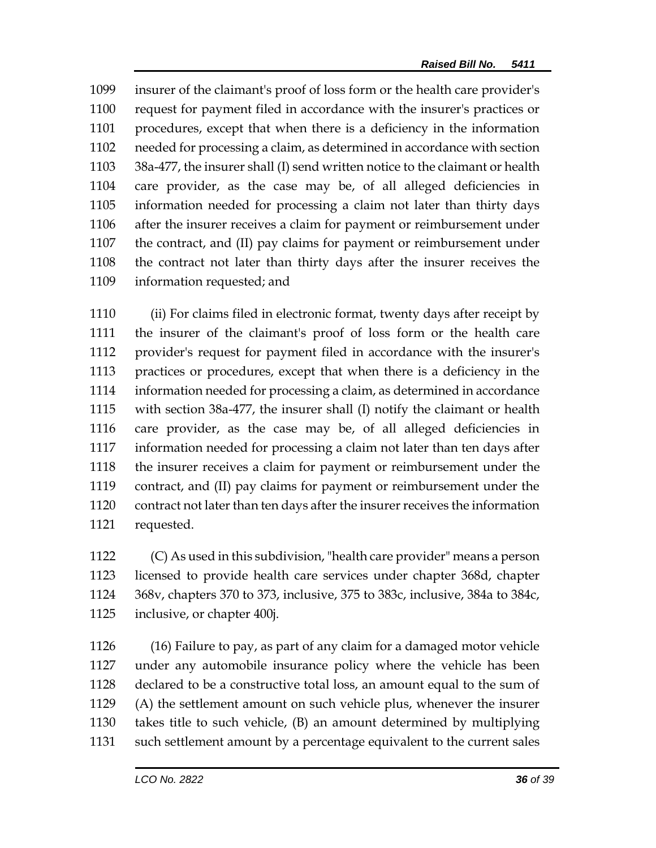insurer of the claimant's proof of loss form or the health care provider's request for payment filed in accordance with the insurer's practices or procedures, except that when there is a deficiency in the information needed for processing a claim, as determined in accordance with section 38a-477, the insurer shall (I) send written notice to the claimant or health care provider, as the case may be, of all alleged deficiencies in information needed for processing a claim not later than thirty days after the insurer receives a claim for payment or reimbursement under the contract, and (II) pay claims for payment or reimbursement under the contract not later than thirty days after the insurer receives the information requested; and

 (ii) For claims filed in electronic format, twenty days after receipt by the insurer of the claimant's proof of loss form or the health care provider's request for payment filed in accordance with the insurer's practices or procedures, except that when there is a deficiency in the information needed for processing a claim, as determined in accordance with section 38a-477, the insurer shall (I) notify the claimant or health care provider, as the case may be, of all alleged deficiencies in information needed for processing a claim not later than ten days after the insurer receives a claim for payment or reimbursement under the contract, and (II) pay claims for payment or reimbursement under the contract not later than ten days after the insurer receives the information requested.

 (C) As used in this subdivision, "health care provider" means a person licensed to provide health care services under chapter 368d, chapter 368v, chapters 370 to 373, inclusive, 375 to 383c, inclusive, 384a to 384c, inclusive, or chapter 400j.

 (16) Failure to pay, as part of any claim for a damaged motor vehicle under any automobile insurance policy where the vehicle has been declared to be a constructive total loss, an amount equal to the sum of (A) the settlement amount on such vehicle plus, whenever the insurer takes title to such vehicle, (B) an amount determined by multiplying such settlement amount by a percentage equivalent to the current sales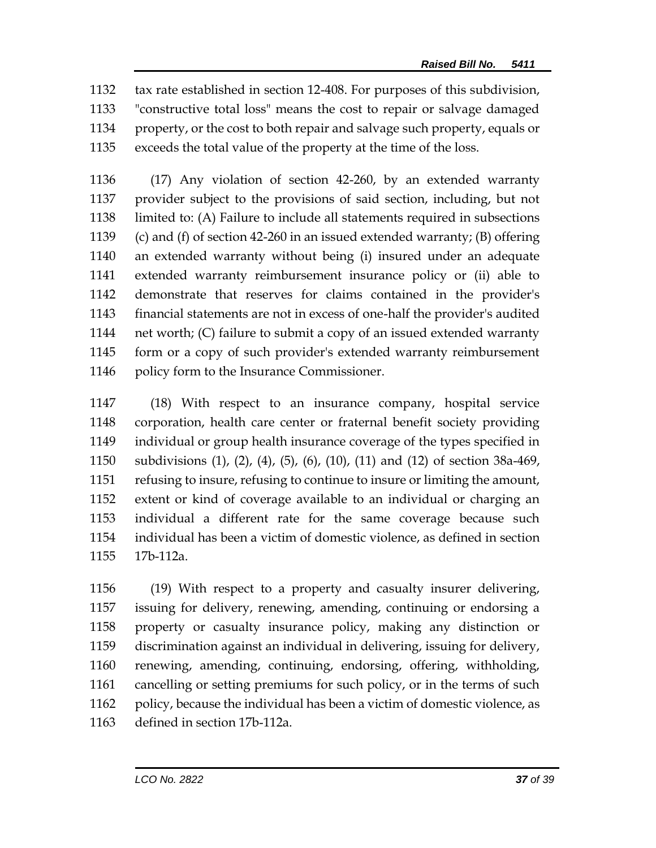tax rate established in section 12-408. For purposes of this subdivision, "constructive total loss" means the cost to repair or salvage damaged property, or the cost to both repair and salvage such property, equals or exceeds the total value of the property at the time of the loss.

 (17) Any violation of section 42-260, by an extended warranty provider subject to the provisions of said section, including, but not limited to: (A) Failure to include all statements required in subsections (c) and (f) of section 42-260 in an issued extended warranty; (B) offering an extended warranty without being (i) insured under an adequate extended warranty reimbursement insurance policy or (ii) able to demonstrate that reserves for claims contained in the provider's financial statements are not in excess of one-half the provider's audited net worth; (C) failure to submit a copy of an issued extended warranty form or a copy of such provider's extended warranty reimbursement policy form to the Insurance Commissioner.

 (18) With respect to an insurance company, hospital service corporation, health care center or fraternal benefit society providing individual or group health insurance coverage of the types specified in subdivisions (1), (2), (4), (5), (6), (10), (11) and (12) of section 38a-469, refusing to insure, refusing to continue to insure or limiting the amount, extent or kind of coverage available to an individual or charging an individual a different rate for the same coverage because such individual has been a victim of domestic violence, as defined in section 17b-112a.

 (19) With respect to a property and casualty insurer delivering, issuing for delivery, renewing, amending, continuing or endorsing a property or casualty insurance policy, making any distinction or discrimination against an individual in delivering, issuing for delivery, renewing, amending, continuing, endorsing, offering, withholding, cancelling or setting premiums for such policy, or in the terms of such policy, because the individual has been a victim of domestic violence, as defined in section 17b-112a.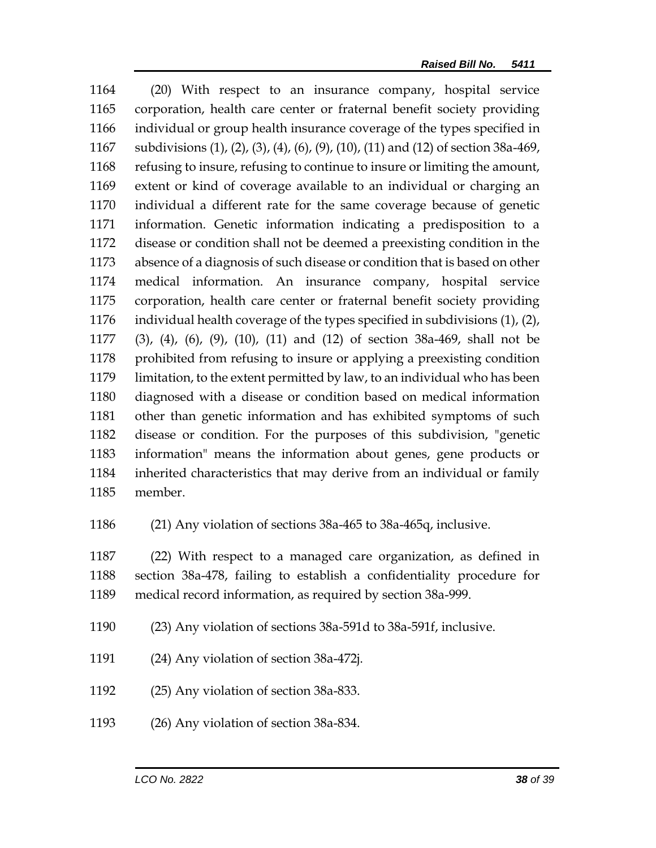(20) With respect to an insurance company, hospital service corporation, health care center or fraternal benefit society providing individual or group health insurance coverage of the types specified in subdivisions (1), (2), (3), (4), (6), (9), (10), (11) and (12) of section 38a-469, refusing to insure, refusing to continue to insure or limiting the amount, extent or kind of coverage available to an individual or charging an individual a different rate for the same coverage because of genetic information. Genetic information indicating a predisposition to a disease or condition shall not be deemed a preexisting condition in the absence of a diagnosis of such disease or condition that is based on other medical information. An insurance company, hospital service corporation, health care center or fraternal benefit society providing individual health coverage of the types specified in subdivisions (1), (2), (3), (4), (6), (9), (10), (11) and (12) of section 38a-469, shall not be 1178 prohibited from refusing to insure or applying a preexisting condition limitation, to the extent permitted by law, to an individual who has been diagnosed with a disease or condition based on medical information other than genetic information and has exhibited symptoms of such disease or condition. For the purposes of this subdivision, "genetic information" means the information about genes, gene products or inherited characteristics that may derive from an individual or family member.

(21) Any violation of sections 38a-465 to 38a-465q, inclusive.

 (22) With respect to a managed care organization, as defined in section 38a-478, failing to establish a confidentiality procedure for medical record information, as required by section 38a-999.

- (23) Any violation of sections 38a-591d to 38a-591f, inclusive.
- (24) Any violation of section 38a-472j.
- (25) Any violation of section 38a-833.
- (26) Any violation of section 38a-834.